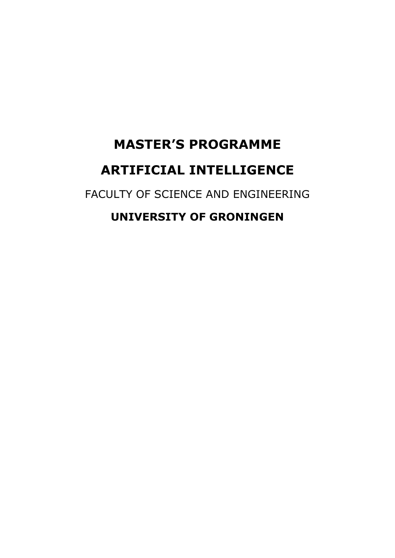# **MASTER'S PROGRAMME ARTIFICIAL INTELLIGENCE** FACULTY OF SCIENCE AND ENGINEERING **UNIVERSITY OF GRONINGEN**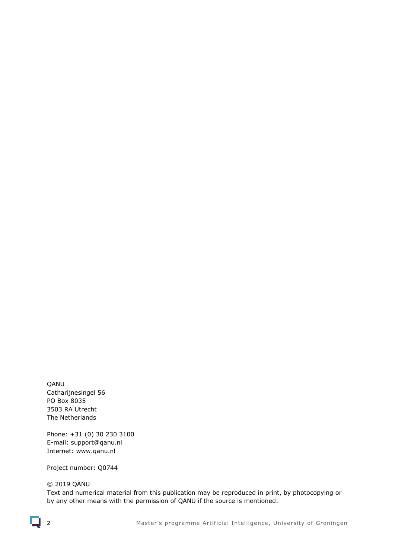QANU Catharijnesingel 56 PO Box 8035 3503 RA Utrecht The Netherlands

Phone: +31 (0) 30 230 3100 E-mail: support@qanu.nl Internet: www.qanu.nl

Project number: Q0744

#### © 2019 QANU

Text and numerical material from this publication may be reproduced in print, by photocopying or by any other means with the permission of QANU if the source is mentioned.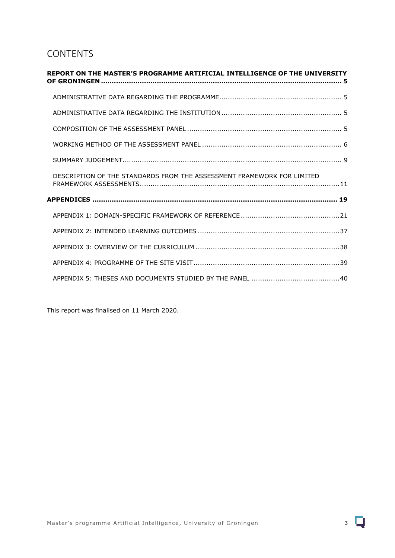# CONTENTS

| REPORT ON THE MASTER'S PROGRAMME ARTIFICIAL INTELLIGENCE OF THE UNIVERSITY |  |
|----------------------------------------------------------------------------|--|
|                                                                            |  |
|                                                                            |  |
|                                                                            |  |
|                                                                            |  |
|                                                                            |  |
| DESCRIPTION OF THE STANDARDS FROM THE ASSESSMENT FRAMEWORK FOR LIMITED     |  |
|                                                                            |  |
|                                                                            |  |
|                                                                            |  |
|                                                                            |  |
|                                                                            |  |
|                                                                            |  |

This report was finalised on 11 March 2020.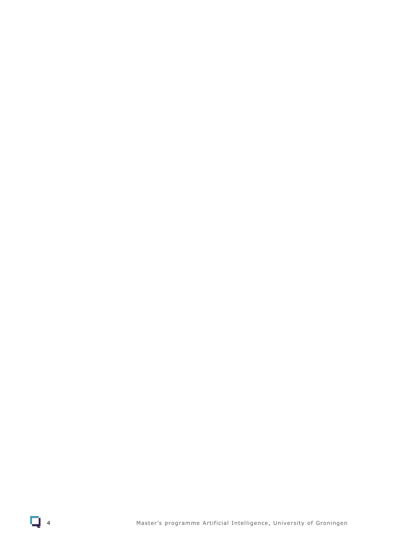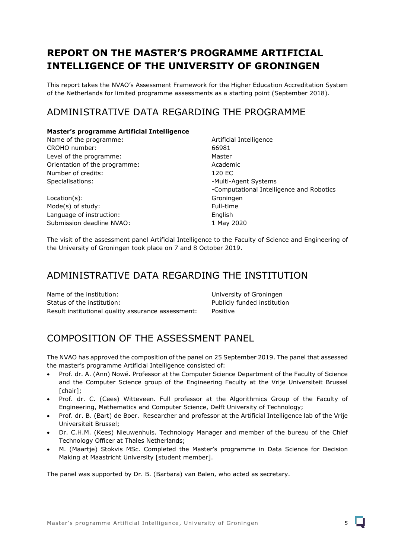# <span id="page-4-0"></span>**REPORT ON THE MASTER'S PROGRAMME ARTIFICIAL INTELLIGENCE OF THE UNIVERSITY OF GRONINGEN**

This report takes the NVAO's Assessment Framework for the Higher Education Accreditation System of the Netherlands for limited programme assessments as a starting point (September 2018).

# <span id="page-4-1"></span>ADMINISTRATIVE DATA REGARDING THE PROGRAMME

# **Master's programme Artificial Intelligence**

Name of the programme:  $\blacksquare$  Artificial Intelligence CROHO number: 66981 Level of the programme: Master Orientation of the programme: Academic Number of credits: 120 EC Specialisations:  $\qquad \qquad -$ Multi-Agent Systems

Location(s): Groningen Mode(s) of study: The study: Full-time Language of instruction: English Submission deadline NVAO: 1 May 2020

-Computational Intelligence and Robotics

The visit of the assessment panel Artificial Intelligence to the Faculty of Science and Engineering of the University of Groningen took place on 7 and 8 October 2019.

# <span id="page-4-2"></span>ADMINISTRATIVE DATA REGARDING THE INSTITUTION

Name of the institution: University of Groningen Status of the institution: The institution: The institution of the institution of the institution: Result institutional quality assurance assessment: Positive

# <span id="page-4-3"></span>COMPOSITION OF THE ASSESSMENT PANEL

The NVAO has approved the composition of the panel on 25 September 2019. The panel that assessed the master's programme Artificial Intelligence consisted of:

- Prof. dr. A. (Ann) Nowé. Professor at the Computer Science Department of the Faculty of Science and the Computer Science group of the Engineering Faculty at the Vrije Universiteit Brussel [chair]:
- Prof. dr. C. (Cees) Witteveen. Full professor at the Algorithmics Group of the Faculty of Engineering, Mathematics and Computer Science, Delft University of Technology;
- Prof. dr. B. (Bart) de Boer. Researcher and professor at the Artificial Intelligence lab of the Vrije Universiteit Brussel;
- Dr. C.H.M. (Kees) Nieuwenhuis. Technology Manager and member of the bureau of the Chief Technology Officer at Thales Netherlands;
- M. (Maartje) Stokvis MSc. Completed the Master's programme in Data Science for Decision Making at Maastricht University [student member].

The panel was supported by Dr. B. (Barbara) van Balen, who acted as secretary.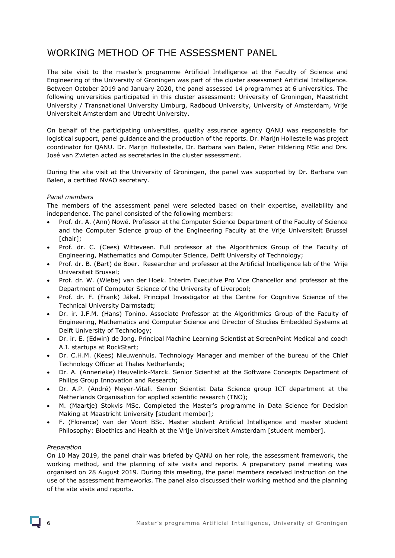# <span id="page-5-0"></span>WORKING METHOD OF THE ASSESSMENT PANEL

The site visit to the master's programme Artificial Intelligence at the Faculty of Science and Engineering of the University of Groningen was part of the cluster assessment Artificial Intelligence. Between October 2019 and January 2020, the panel assessed 14 programmes at 6 universities. The following universities participated in this cluster assessment: University of Groningen, Maastricht University / Transnational University Limburg, Radboud University, University of Amsterdam, Vrije Universiteit Amsterdam and Utrecht University.

On behalf of the participating universities, quality assurance agency QANU was responsible for logistical support, panel guidance and the production of the reports. Dr. Marijn Hollestelle was project coordinator for QANU. Dr. Marijn Hollestelle, Dr. Barbara van Balen, Peter Hildering MSc and Drs. José van Zwieten acted as secretaries in the cluster assessment.

During the site visit at the University of Groningen, the panel was supported by Dr. Barbara van Balen, a certified NVAO secretary.

# *Panel members*

The members of the assessment panel were selected based on their expertise, availability and independence. The panel consisted of the following members:

- Prof. dr. A. (Ann) Nowé. Professor at the Computer Science Department of the Faculty of Science and the Computer Science group of the Engineering Faculty at the Vrije Universiteit Brussel [chair];
- Prof. dr. C. (Cees) Witteveen. Full professor at the Algorithmics Group of the Faculty of Engineering, Mathematics and Computer Science, Delft University of Technology;
- Prof. dr. B. (Bart) de Boer. Researcher and professor at the Artificial Intelligence lab of the Vrije Universiteit Brussel;
- Prof. dr. W. (Wiebe) van der Hoek. Interim Executive Pro Vice Chancellor and professor at the Department of Computer Science of the University of Liverpool;
- Prof. dr. F. (Frank) Jäkel. Principal Investigator at the Centre for Cognitive Science of the Technical University Darmstadt;
- Dr. ir. J.F.M. (Hans) Tonino. Associate Professor at the Algorithmics Group of the Faculty of Engineering, Mathematics and Computer Science and Director of Studies Embedded Systems at Delft University of Technology;
- Dr. ir. E. (Edwin) de Jong. Principal Machine Learning Scientist at ScreenPoint Medical and coach A.I. startups at RockStart;
- Dr. C.H.M. (Kees) Nieuwenhuis. Technology Manager and member of the bureau of the Chief Technology Officer at Thales Netherlands;
- Dr. A. (Annerieke) Heuvelink-Marck. Senior Scientist at the Software Concepts Department of Philips Group Innovation and Research;
- Dr. A.P. (André) Meyer-Vitali. Senior Scientist Data Science group ICT department at the Netherlands Organisation for applied scientific research (TNO);
- M. (Maartje) Stokvis MSc. Completed the Master's programme in Data Science for Decision Making at Maastricht University [student member];
- F. (Florence) van der Voort BSc. Master student Artificial Intelligence and master student Philosophy: Bioethics and Health at the Vrije Universiteit Amsterdam [student member].

#### *Preparation*

On 10 May 2019, the panel chair was briefed by QANU on her role, the assessment framework, the working method, and the planning of site visits and reports. A preparatory panel meeting was organised on 28 August 2019. During this meeting, the panel members received instruction on the use of the assessment frameworks. The panel also discussed their working method and the planning of the site visits and reports.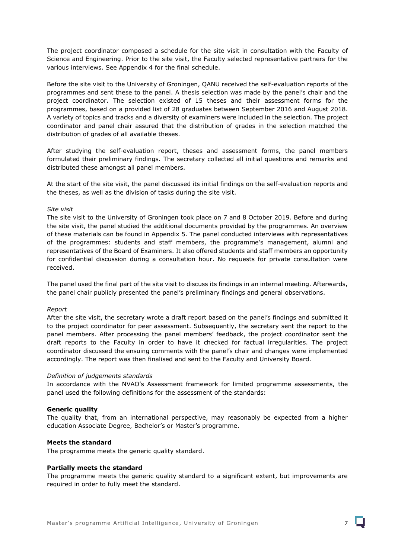The project coordinator composed a schedule for the site visit in consultation with the Faculty of Science and Engineering. Prior to the site visit, the Faculty selected representative partners for the various interviews. See Appendix 4 for the final schedule.

Before the site visit to the University of Groningen, QANU received the self-evaluation reports of the programmes and sent these to the panel. A thesis selection was made by the panel's chair and the project coordinator. The selection existed of 15 theses and their assessment forms for the programmes, based on a provided list of 28 graduates between September 2016 and August 2018. A variety of topics and tracks and a diversity of examiners were included in the selection. The project coordinator and panel chair assured that the distribution of grades in the selection matched the distribution of grades of all available theses.

After studying the self-evaluation report, theses and assessment forms, the panel members formulated their preliminary findings. The secretary collected all initial questions and remarks and distributed these amongst all panel members.

At the start of the site visit, the panel discussed its initial findings on the self-evaluation reports and the theses, as well as the division of tasks during the site visit.

#### *Site visit*

The site visit to the University of Groningen took place on 7 and 8 October 2019. Before and during the site visit, the panel studied the additional documents provided by the programmes. An overview of these materials can be found in Appendix 5. The panel conducted interviews with representatives of the programmes: students and staff members, the programme's management, alumni and representatives of the Board of Examiners. It also offered students and staff members an opportunity for confidential discussion during a consultation hour. No requests for private consultation were received.

The panel used the final part of the site visit to discuss its findings in an internal meeting. Afterwards, the panel chair publicly presented the panel's preliminary findings and general observations.

#### *Report*

After the site visit, the secretary wrote a draft report based on the panel's findings and submitted it to the project coordinator for peer assessment. Subsequently, the secretary sent the report to the panel members. After processing the panel members' feedback, the project coordinator sent the draft reports to the Faculty in order to have it checked for factual irregularities. The project coordinator discussed the ensuing comments with the panel's chair and changes were implemented accordingly. The report was then finalised and sent to the Faculty and University Board.

#### *Definition of judgements standards*

In accordance with the NVAO's Assessment framework for limited programme assessments, the panel used the following definitions for the assessment of the standards:

#### **Generic quality**

The quality that, from an international perspective, may reasonably be expected from a higher education Associate Degree, Bachelor's or Master's programme.

#### **Meets the standard**

The programme meets the generic quality standard.

#### **Partially meets the standard**

The programme meets the generic quality standard to a significant extent, but improvements are required in order to fully meet the standard.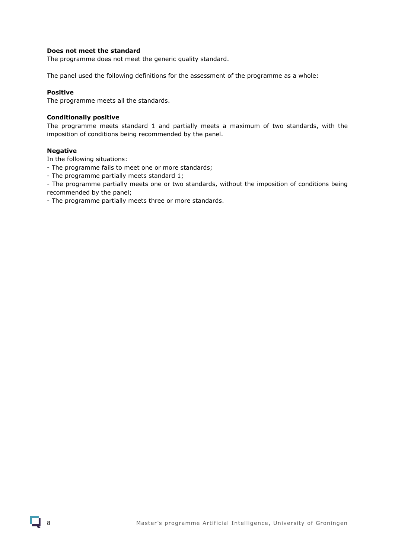### **Does not meet the standard**

The programme does not meet the generic quality standard.

The panel used the following definitions for the assessment of the programme as a whole:

#### **Positive**

The programme meets all the standards.

#### **Conditionally positive**

The programme meets standard 1 and partially meets a maximum of two standards, with the imposition of conditions being recommended by the panel.

#### **Negative**

In the following situations:

- The programme fails to meet one or more standards;

- The programme partially meets standard 1;

- The programme partially meets one or two standards, without the imposition of conditions being recommended by the panel;

- The programme partially meets three or more standards.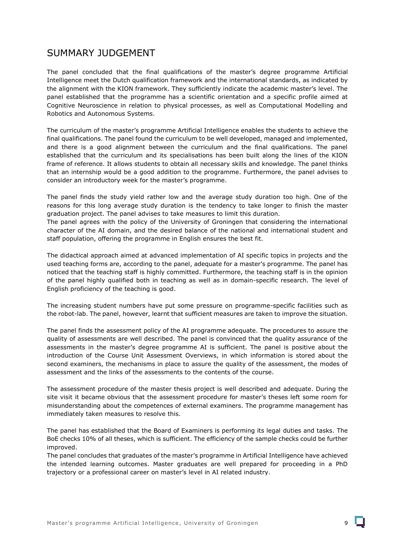# <span id="page-8-0"></span>SUMMARY JUDGEMENT

The panel concluded that the final qualifications of the master's degree programme Artificial Intelligence meet the Dutch qualification framework and the international standards, as indicated by the alignment with the KION framework. They sufficiently indicate the academic master's level. The panel established that the programme has a scientific orientation and a specific profile aimed at Cognitive Neuroscience in relation to physical processes, as well as Computational Modelling and Robotics and Autonomous Systems.

The curriculum of the master's programme Artificial Intelligence enables the students to achieve the final qualifications. The panel found the curriculum to be well developed, managed and implemented, and there is a good alignment between the curriculum and the final qualifications. The panel established that the curriculum and its specialisations has been built along the lines of the KION frame of reference. It allows students to obtain all necessary skills and knowledge. The panel thinks that an internship would be a good addition to the programme. Furthermore, the panel advises to consider an introductory week for the master's programme.

The panel finds the study yield rather low and the average study duration too high. One of the reasons for this long average study duration is the tendency to take longer to finish the master graduation project. The panel advises to take measures to limit this duration.

The panel agrees with the policy of the University of Groningen that considering the international character of the AI domain, and the desired balance of the national and international student and staff population, offering the programme in English ensures the best fit.

The didactical approach aimed at advanced implementation of AI specific topics in projects and the used teaching forms are, according to the panel, adequate for a master's programme. The panel has noticed that the teaching staff is highly committed. Furthermore, the teaching staff is in the opinion of the panel highly qualified both in teaching as well as in domain-specific research. The level of English proficiency of the teaching is good.

The increasing student numbers have put some pressure on programme-specific facilities such as the robot-lab. The panel, however, learnt that sufficient measures are taken to improve the situation.

The panel finds the assessment policy of the AI programme adequate. The procedures to assure the quality of assessments are well described. The panel is convinced that the quality assurance of the assessments in the master's degree programme AI is sufficient. The panel is positive about the introduction of the Course Unit Assessment Overviews, in which information is stored about the second examiners, the mechanisms in place to assure the quality of the assessment, the modes of assessment and the links of the assessments to the contents of the course.

The assessment procedure of the master thesis project is well described and adequate. During the site visit it became obvious that the assessment procedure for master's theses left some room for misunderstanding about the competences of external examiners. The programme management has immediately taken measures to resolve this.

The panel has established that the Board of Examiners is performing its legal duties and tasks. The BoE checks 10% of all theses, which is sufficient. The efficiency of the sample checks could be further improved.

The panel concludes that graduates of the master's programme in Artificial Intelligence have achieved the intended learning outcomes. Master graduates are well prepared for proceeding in a PhD trajectory or a professional career on master's level in AI related industry.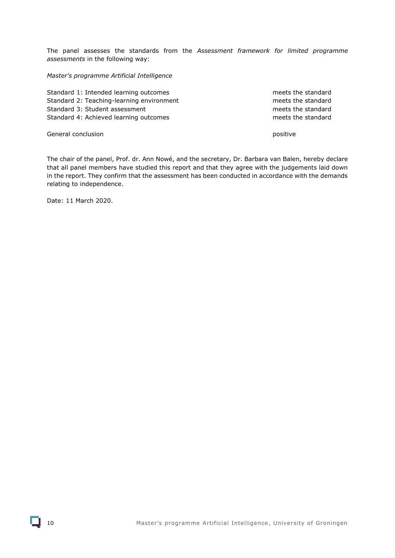The panel assesses the standards from the *Assessment framework for limited programme assessments* in the following way:

*Master's programme Artificial Intelligence*

Standard 1: Intended learning outcomes meets the standard meets the standard Standard 2: Teaching-learning environment meets the standard Standard 3: Student assessment meets the standard meets the standard Standard 4: Achieved learning outcomes meets the standard meets the standard

General conclusion **provides** and positive positive positive positive positive positive

The chair of the panel, Prof. dr. Ann Nowé, and the secretary, Dr. Barbara van Balen, hereby declare that all panel members have studied this report and that they agree with the judgements laid down in the report. They confirm that the assessment has been conducted in accordance with the demands relating to independence.

Date: 11 March 2020.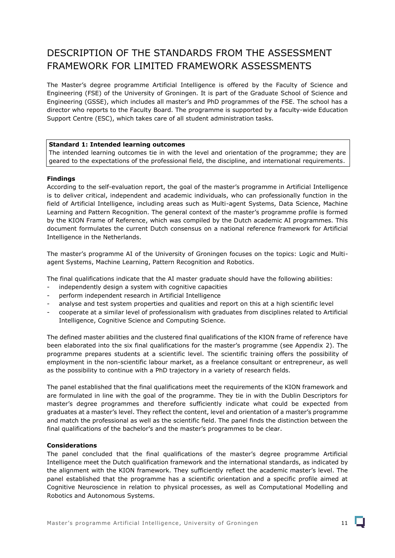# <span id="page-10-0"></span>DESCRIPTION OF THE STANDARDS FROM THE ASSESSMENT FRAMEWORK FOR LIMITED FRAMEWORK ASSESSMENTS

The Master's degree programme Artificial Intelligence is offered by the Faculty of Science and Engineering (FSE) of the University of Groningen. It is part of the Graduate School of Science and Engineering (GSSE), which includes all master's and PhD programmes of the FSE. The school has a director who reports to the Faculty Board. The programme is supported by a faculty-wide Education Support Centre (ESC), which takes care of all student administration tasks.

### **Standard 1: Intended learning outcomes**

The intended learning outcomes tie in with the level and orientation of the programme; they are geared to the expectations of the professional field, the discipline, and international requirements.

#### **Findings**

According to the self-evaluation report, the goal of the master's programme in Artificial Intelligence is to deliver critical, independent and academic individuals, who can professionally function in the field of Artificial Intelligence, including areas such as Multi-agent Systems, Data Science, Machine Learning and Pattern Recognition. The general context of the master's programme profile is formed by the KION Frame of Reference, which was compiled by the Dutch academic AI programmes. This document formulates the current Dutch consensus on a national reference framework for Artificial Intelligence in the Netherlands.

The master's programme AI of the University of Groningen focuses on the topics: Logic and Multiagent Systems, Machine Learning, Pattern Recognition and Robotics.

The final qualifications indicate that the AI master graduate should have the following abilities:

- independently design a system with cognitive capacities
- perform independent research in Artificial Intelligence
- analyse and test system properties and qualities and report on this at a high scientific level
- cooperate at a similar level of professionalism with graduates from disciplines related to Artificial Intelligence, Cognitive Science and Computing Science.

The defined master abilities and the clustered final qualifications of the KION frame of reference have been elaborated into the six final qualifications for the master's programme (see Appendix 2). The programme prepares students at a scientific level. The scientific training offers the possibility of employment in the non-scientific labour market, as a freelance consultant or entrepreneur, as well as the possibility to continue with a PhD trajectory in a variety of research fields.

The panel established that the final qualifications meet the requirements of the KION framework and are formulated in line with the goal of the programme. They tie in with the Dublin Descriptors for master's degree programmes and therefore sufficiently indicate what could be expected from graduates at a master's level. They reflect the content, level and orientation of a master's programme and match the professional as well as the scientific field. The panel finds the distinction between the final qualifications of the bachelor's and the master's programmes to be clear.

#### **Considerations**

The panel concluded that the final qualifications of the master's degree programme Artificial Intelligence meet the Dutch qualification framework and the international standards, as indicated by the alignment with the KION framework. They sufficiently reflect the academic master's level. The panel established that the programme has a scientific orientation and a specific profile aimed at Cognitive Neuroscience in relation to physical processes, as well as Computational Modelling and Robotics and Autonomous Systems.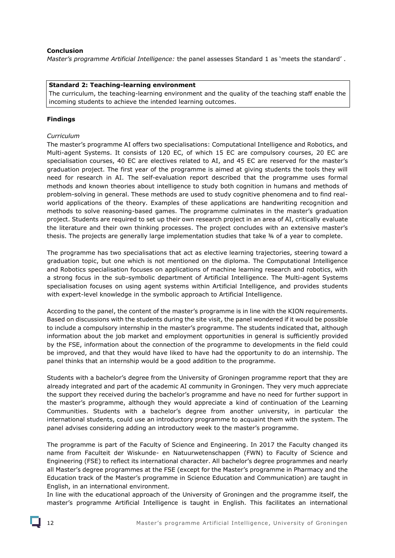### **Conclusion**

*Master's programme Artificial Intelligence:* the panel assesses Standard 1 as 'meets the standard' .

## **Standard 2: Teaching-learning environment**

The curriculum, the teaching-learning environment and the quality of the teaching staff enable the incoming students to achieve the intended learning outcomes.

### **Findings**

#### *Curriculum*

The master's programme AI offers two specialisations: Computational Intelligence and Robotics, and Multi-agent Systems. It consists of 120 EC, of which 15 EC are compulsory courses, 20 EC are specialisation courses, 40 EC are electives related to AI, and 45 EC are reserved for the master's graduation project. The first year of the programme is aimed at giving students the tools they will need for research in AI. The self-evaluation report described that the programme uses formal methods and known theories about intelligence to study both cognition in humans and methods of problem-solving in general. These methods are used to study cognitive phenomena and to find realworld applications of the theory. Examples of these applications are handwriting recognition and methods to solve reasoning-based games. The programme culminates in the master's graduation project. Students are required to set up their own research project in an area of AI, critically evaluate the literature and their own thinking processes. The project concludes with an extensive master's thesis. The projects are generally large implementation studies that take ¾ of a year to complete.

The programme has two specialisations that act as elective learning trajectories, steering toward a graduation topic, but one which is not mentioned on the diploma. The Computational Intelligence and Robotics specialisation focuses on applications of machine learning research and robotics, with a strong focus in the sub-symbolic department of Artificial Intelligence. The Multi-agent Systems specialisation focuses on using agent systems within Artificial Intelligence, and provides students with expert-level knowledge in the symbolic approach to Artificial Intelligence.

According to the panel, the content of the master's programme is in line with the KION requirements. Based on discussions with the students during the site visit, the panel wondered if it would be possible to include a compulsory internship in the master's programme. The students indicated that, although information about the job market and employment opportunities in general is sufficiently provided by the FSE, information about the connection of the programme to developments in the field could be improved, and that they would have liked to have had the opportunity to do an internship. The panel thinks that an internship would be a good addition to the programme.

Students with a bachelor's degree from the University of Groningen programme report that they are already integrated and part of the academic AI community in Groningen. They very much appreciate the support they received during the bachelor's programme and have no need for further support in the master's programme, although they would appreciate a kind of continuation of the Learning Communities. Students with a bachelor's degree from another university, in particular the international students, could use an introductory programme to acquaint them with the system. The panel advises considering adding an introductory week to the master's programme.

The programme is part of the Faculty of Science and Engineering. In 2017 the Faculty changed its name from Faculteit der Wiskunde- en Natuurwetenschappen (FWN) to Faculty of Science and Engineering (FSE) to reflect its international character. All bachelor's degree programmes and nearly all Master's degree programmes at the FSE (except for the Master's programme in Pharmacy and the Education track of the Master's programme in Science Education and Communication) are taught in English, in an international environment.

In line with the educational approach of the University of Groningen and the programme itself, the master's programme Artificial Intelligence is taught in English. This facilitates an international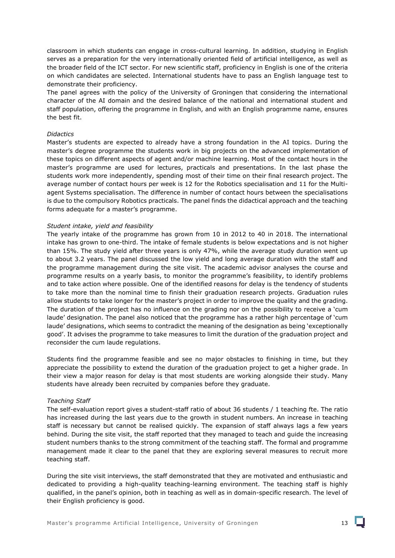classroom in which students can engage in cross-cultural learning. In addition, studying in English serves as a preparation for the very internationally oriented field of artificial intelligence, as well as the broader field of the ICT sector. For new scientific staff, proficiency in English is one of the criteria on which candidates are selected. International students have to pass an English language test to demonstrate their proficiency.

The panel agrees with the policy of the University of Groningen that considering the international character of the AI domain and the desired balance of the national and international student and staff population, offering the programme in English, and with an English programme name, ensures the best fit.

#### *Didactics*

Master's students are expected to already have a strong foundation in the AI topics. During the master's degree programme the students work in big projects on the advanced implementation of these topics on different aspects of agent and/or machine learning. Most of the contact hours in the master's programme are used for lectures, practicals and presentations. In the last phase the students work more independently, spending most of their time on their final research project. The average number of contact hours per week is 12 for the Robotics specialisation and 11 for the Multiagent Systems specialisation. The difference in number of contact hours between the specialisations is due to the compulsory Robotics practicals. The panel finds the didactical approach and the teaching forms adequate for a master's programme.

#### *Student intake, yield and feasibility*

The yearly intake of the programme has grown from 10 in 2012 to 40 in 2018. The international intake has grown to one-third. The intake of female students is below expectations and is not higher than 15%. The study yield after three years is only 47%, while the average study duration went up to about 3.2 years. The panel discussed the low yield and long average duration with the staff and the programme management during the site visit. The academic advisor analyses the course and programme results on a yearly basis, to monitor the programme's feasibility, to identify problems and to take action where possible. One of the identified reasons for delay is the tendency of students to take more than the nominal time to finish their graduation research projects. Graduation rules allow students to take longer for the master's project in order to improve the quality and the grading. The duration of the project has no influence on the grading nor on the possibility to receive a 'cum laude' designation. The panel also noticed that the programme has a rather high percentage of 'cum laude' designations, which seems to contradict the meaning of the designation as being 'exceptionally good'. It advises the programme to take measures to limit the duration of the graduation project and reconsider the cum laude regulations.

Students find the programme feasible and see no major obstacles to finishing in time, but they appreciate the possibility to extend the duration of the graduation project to get a higher grade. In their view a major reason for delay is that most students are working alongside their study. Many students have already been recruited by companies before they graduate.

#### *Teaching Staff*

The self-evaluation report gives a student-staff ratio of about 36 students / 1 teaching fte. The ratio has increased during the last years due to the growth in student numbers. An increase in teaching staff is necessary but cannot be realised quickly. The expansion of staff always lags a few years behind. During the site visit, the staff reported that they managed to teach and guide the increasing student numbers thanks to the strong commitment of the teaching staff. The formal and programme management made it clear to the panel that they are exploring several measures to recruit more teaching staff.

During the site visit interviews, the staff demonstrated that they are motivated and enthusiastic and dedicated to providing a high-quality teaching-learning environment. The teaching staff is highly qualified, in the panel's opinion, both in teaching as well as in domain-specific research. The level of their English proficiency is good.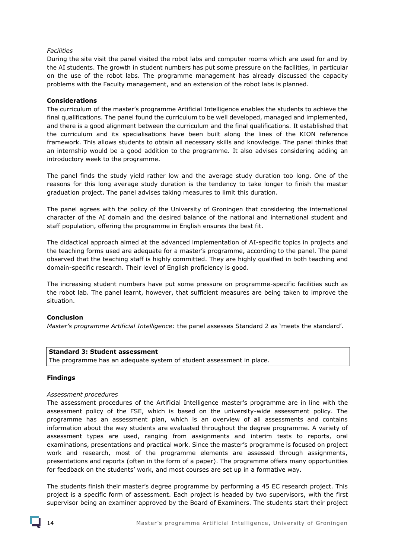### *Facilities*

During the site visit the panel visited the robot labs and computer rooms which are used for and by the AI students. The growth in student numbers has put some pressure on the facilities, in particular on the use of the robot labs. The programme management has already discussed the capacity problems with the Faculty management, and an extension of the robot labs is planned.

#### **Considerations**

The curriculum of the master's programme Artificial Intelligence enables the students to achieve the final qualifications. The panel found the curriculum to be well developed, managed and implemented, and there is a good alignment between the curriculum and the final qualifications. It established that the curriculum and its specialisations have been built along the lines of the KION reference framework. This allows students to obtain all necessary skills and knowledge. The panel thinks that an internship would be a good addition to the programme. It also advises considering adding an introductory week to the programme.

The panel finds the study yield rather low and the average study duration too long. One of the reasons for this long average study duration is the tendency to take longer to finish the master graduation project. The panel advises taking measures to limit this duration.

The panel agrees with the policy of the University of Groningen that considering the international character of the AI domain and the desired balance of the national and international student and staff population, offering the programme in English ensures the best fit.

The didactical approach aimed at the advanced implementation of AI-specific topics in projects and the teaching forms used are adequate for a master's programme, according to the panel. The panel observed that the teaching staff is highly committed. They are highly qualified in both teaching and domain-specific research. Their level of English proficiency is good.

The increasing student numbers have put some pressure on programme-specific facilities such as the robot lab. The panel learnt, however, that sufficient measures are being taken to improve the situation.

#### **Conclusion**

*Master's programme Artificial Intelligence:* the panel assesses Standard 2 as 'meets the standard'.

#### **Standard 3: Student assessment**

The programme has an adequate system of student assessment in place.

#### **Findings**

#### *Assessment procedures*

The assessment procedures of the Artificial Intelligence master's programme are in line with the assessment policy of the FSE, which is based on the university-wide assessment policy. The programme has an assessment plan, which is an overview of all assessments and contains information about the way students are evaluated throughout the degree programme. A variety of assessment types are used, ranging from assignments and interim tests to reports, oral examinations, presentations and practical work. Since the master's programme is focused on project work and research, most of the programme elements are assessed through assignments, presentations and reports (often in the form of a paper). The programme offers many opportunities for feedback on the students' work, and most courses are set up in a formative way.

The students finish their master's degree programme by performing a 45 EC research project. This project is a specific form of assessment. Each project is headed by two supervisors, with the first supervisor being an examiner approved by the Board of Examiners. The students start their project

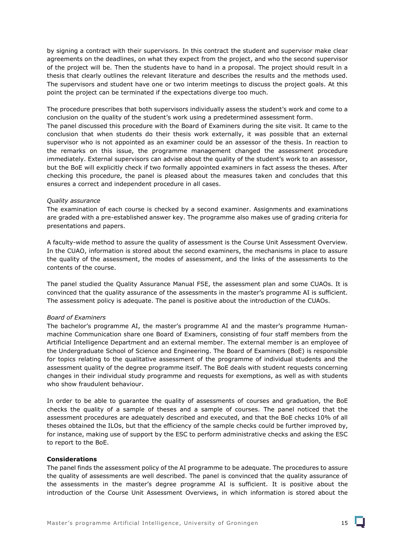by signing a contract with their supervisors. In this contract the student and supervisor make clear agreements on the deadlines, on what they expect from the project, and who the second supervisor of the project will be. Then the students have to hand in a proposal. The project should result in a thesis that clearly outlines the relevant literature and describes the results and the methods used. The supervisors and student have one or two interim meetings to discuss the project goals. At this point the project can be terminated if the expectations diverge too much.

The procedure prescribes that both supervisors individually assess the student's work and come to a conclusion on the quality of the student's work using a predetermined assessment form.

The panel discussed this procedure with the Board of Examiners during the site visit. It came to the conclusion that when students do their thesis work externally, it was possible that an external supervisor who is not appointed as an examiner could be an assessor of the thesis. In reaction to the remarks on this issue, the programme management changed the assessment procedure immediately. External supervisors can advise about the quality of the student's work to an assessor, but the BoE will explicitly check if two formally appointed examiners in fact assess the theses. After checking this procedure, the panel is pleased about the measures taken and concludes that this ensures a correct and independent procedure in all cases.

#### *Quality assurance*

The examination of each course is checked by a second examiner. Assignments and examinations are graded with a pre-established answer key. The programme also makes use of grading criteria for presentations and papers.

A faculty-wide method to assure the quality of assessment is the Course Unit Assessment Overview. In the CUAO, information is stored about the second examiners, the mechanisms in place to assure the quality of the assessment, the modes of assessment, and the links of the assessments to the contents of the course.

The panel studied the Quality Assurance Manual FSE, the assessment plan and some CUAOs. It is convinced that the quality assurance of the assessments in the master's programme AI is sufficient. The assessment policy is adequate. The panel is positive about the introduction of the CUAOs.

#### *Board of Examiners*

The bachelor's programme AI, the master's programme AI and the master's programme Humanmachine Communication share one Board of Examiners, consisting of four staff members from the Artificial Intelligence Department and an external member. The external member is an employee of the Undergraduate School of Science and Engineering. The Board of Examiners (BoE) is responsible for topics relating to the qualitative assessment of the programme of individual students and the assessment quality of the degree programme itself. The BoE deals with student requests concerning changes in their individual study programme and requests for exemptions, as well as with students who show fraudulent behaviour.

In order to be able to guarantee the quality of assessments of courses and graduation, the BoE checks the quality of a sample of theses and a sample of courses. The panel noticed that the assessment procedures are adequately described and executed, and that the BoE checks 10% of all theses obtained the ILOs, but that the efficiency of the sample checks could be further improved by, for instance, making use of support by the ESC to perform administrative checks and asking the ESC to report to the BoE.

#### **Considerations**

The panel finds the assessment policy of the AI programme to be adequate. The procedures to assure the quality of assessments are well described. The panel is convinced that the quality assurance of the assessments in the master's degree programme AI is sufficient. It is positive about the introduction of the Course Unit Assessment Overviews, in which information is stored about the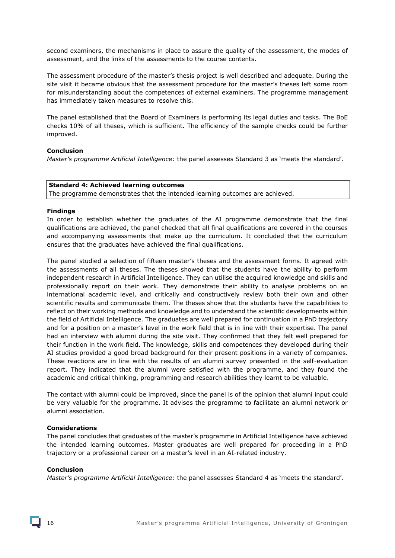second examiners, the mechanisms in place to assure the quality of the assessment, the modes of assessment, and the links of the assessments to the course contents.

The assessment procedure of the master's thesis project is well described and adequate. During the site visit it became obvious that the assessment procedure for the master's theses left some room for misunderstanding about the competences of external examiners. The programme management has immediately taken measures to resolve this.

The panel established that the Board of Examiners is performing its legal duties and tasks. The BoE checks 10% of all theses, which is sufficient. The efficiency of the sample checks could be further improved.

### **Conclusion**

*Master's programme Artificial Intelligence:* the panel assesses Standard 3 as 'meets the standard'.

# **Standard 4: Achieved learning outcomes**

The programme demonstrates that the intended learning outcomes are achieved.

#### **Findings**

In order to establish whether the graduates of the AI programme demonstrate that the final qualifications are achieved, the panel checked that all final qualifications are covered in the courses and accompanying assessments that make up the curriculum. It concluded that the curriculum ensures that the graduates have achieved the final qualifications.

The panel studied a selection of fifteen master's theses and the assessment forms. It agreed with the assessments of all theses. The theses showed that the students have the ability to perform independent research in Artificial Intelligence. They can utilise the acquired knowledge and skills and professionally report on their work. They demonstrate their ability to analyse problems on an international academic level, and critically and constructively review both their own and other scientific results and communicate them. The theses show that the students have the capabilities to reflect on their working methods and knowledge and to understand the scientific developments within the field of Artificial Intelligence. The graduates are well prepared for continuation in a PhD trajectory and for a position on a master's level in the work field that is in line with their expertise. The panel had an interview with alumni during the site visit. They confirmed that they felt well prepared for their function in the work field. The knowledge, skills and competences they developed during their AI studies provided a good broad background for their present positions in a variety of companies. These reactions are in line with the results of an alumni survey presented in the self-evaluation report. They indicated that the alumni were satisfied with the programme, and they found the academic and critical thinking, programming and research abilities they learnt to be valuable.

The contact with alumni could be improved, since the panel is of the opinion that alumni input could be very valuable for the programme. It advises the programme to facilitate an alumni network or alumni association.

#### **Considerations**

The panel concludes that graduates of the master's programme in Artificial Intelligence have achieved the intended learning outcomes. Master graduates are well prepared for proceeding in a PhD trajectory or a professional career on a master's level in an AI-related industry.

# **Conclusion**

*Master's programme Artificial Intelligence:* the panel assesses Standard 4 as 'meets the standard'.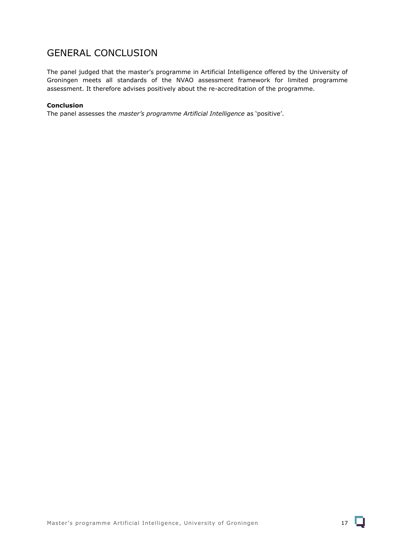# GENERAL CONCLUSION

The panel judged that the master's programme in Artificial Intelligence offered by the University of Groningen meets all standards of the NVAO assessment framework for limited programme assessment. It therefore advises positively about the re-accreditation of the programme.

# **Conclusion**

The panel assesses the *master's programme Artificial Intelligence* as 'positive'.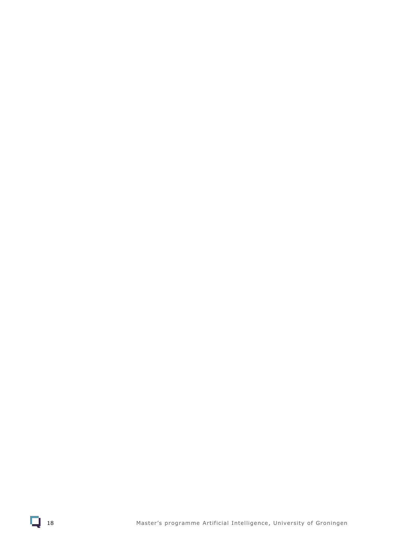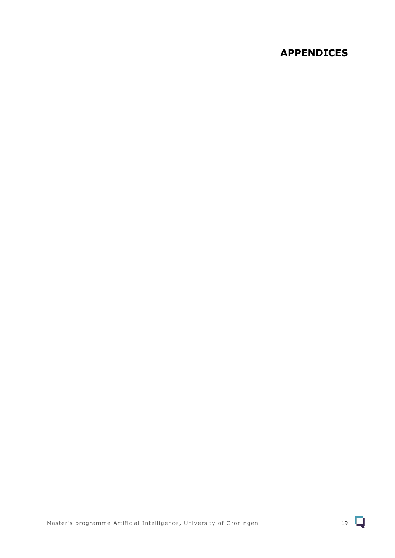# <span id="page-18-0"></span>**APPENDICES**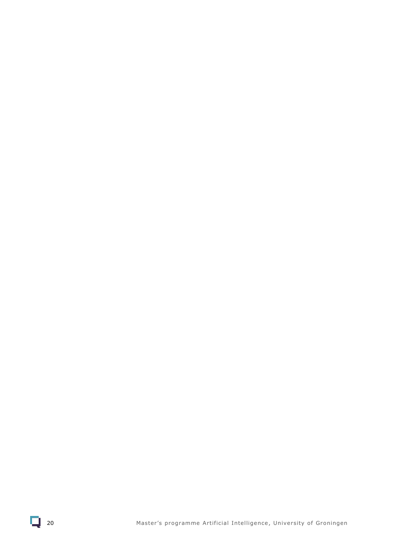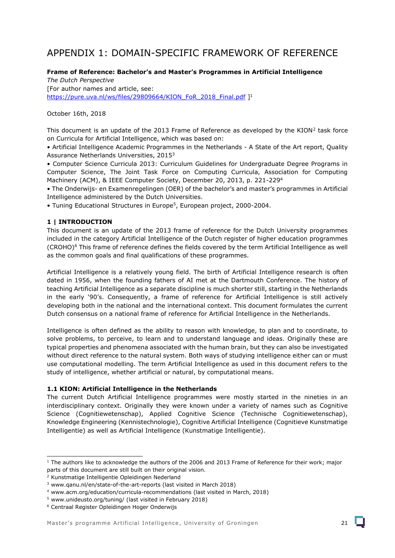# <span id="page-20-0"></span>APPENDIX 1: DOMAIN-SPECIFIC FRAMEWORK OF REFERENCE

## **Frame of Reference: Bachelor's and Master's Programmes in Artificial Intelligence** *The Dutch Perspective* [For author names and article, see: [https://pure.uva.nl/ws/files/29809664/KION\\_FoR\\_2018\\_Final.pdf](https://pure.uva.nl/ws/files/29809664/KION_FoR_2018_Final.pdf) ]<sup>1</sup>

# October 16th, 2018

This document is an update of the 2013 Frame of Reference as developed by the KION<sup>2</sup> task force on Curricula for Artificial Intelligence, which was based on:

• Artificial Intelligence Academic Programmes in the Netherlands - A State of the Art report, Quality Assurance Netherlands Universities, 2015<sup>3</sup>

• Computer Science Curricula 2013: Curriculum Guidelines for Undergraduate Degree Programs in Computer Science, The Joint Task Force on Computing Curricula, Association for Computing Machinery (ACM), & IEEE Computer Society, December 20, 2013, p. 221-229<sup>4</sup>

• The Onderwijs- en Examenregelingen (OER) of the bachelor's and master's programmes in Artificial Intelligence administered by the Dutch Universities.

• Tuning Educational Structures in Europe<sup>5</sup> , European project, 2000-2004.

### **1 | INTRODUCTION**

This document is an update of the 2013 frame of reference for the Dutch University programmes included in the category Artificial Intelligence of the Dutch register of higher education programmes  $(CROHO)^6$  This frame of reference defines the fields covered by the term Artificial Intelligence as well as the common goals and final qualifications of these programmes.

Artificial Intelligence is a relatively young field. The birth of Artificial Intelligence research is often dated in 1956, when the founding fathers of AI met at the Dartmouth Conference. The history of teaching Artificial Intelligence as a separate discipline is much shorter still, starting in the Netherlands in the early '90's. Consequently, a frame of reference for Artificial Intelligence is still actively developing both in the national and the international context. This document formulates the current Dutch consensus on a national frame of reference for Artificial Intelligence in the Netherlands.

Intelligence is often defined as the ability to reason with knowledge, to plan and to coordinate, to solve problems, to perceive, to learn and to understand language and ideas. Originally these are typical properties and phenomena associated with the human brain, but they can also be investigated without direct reference to the natural system. Both ways of studying intelligence either can or must use computational modelling. The term Artificial Intelligence as used in this document refers to the study of intelligence, whether artificial or natural, by computational means.

#### **1.1 KION: Artificial Intelligence in the Netherlands**

The current Dutch Artificial Intelligence programmes were mostly started in the nineties in an interdisciplinary context. Originally they were known under a variety of names such as Cognitive Science (Cognitiewetenschap), Applied Cognitive Science (Technische Cognitiewetenschap), Knowledge Engineering (Kennistechnologie), Cognitive Artificial Intelligence (Cognitieve Kunstmatige Intelligentie) as well as Artificial Intelligence (Kunstmatige Intelligentie).

-

<sup>&</sup>lt;sup>1</sup> The authors like to acknowledge the authors of the 2006 and 2013 Frame of Reference for their work; major parts of this document are still built on their original vision.

<sup>2</sup> Kunstmatige Intelligentie Opleidingen Nederland

<sup>3</sup> www.qanu.nl/en/state-of-the-art-reports (last visited in March 2018)

<sup>4</sup> www.acm.org/education/curricula-recommendations (last visited in March, 2018)

<sup>5</sup> www.unideusto.org/tuning/ (last visited in February 2018)

<sup>6</sup> Centraal Register Opleidingen Hoger Onderwijs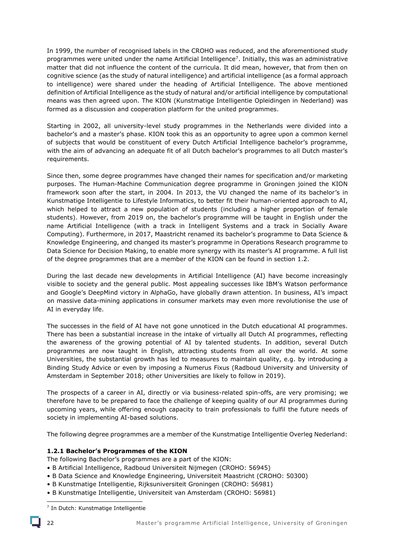In 1999, the number of recognised labels in the CROHO was reduced, and the aforementioned study programmes were united under the name Artificial Intelligence<sup>7</sup> . Initially, this was an administrative matter that did not influence the content of the curricula. It did mean, however, that from then on cognitive science (as the study of natural intelligence) and artificial intelligence (as a formal approach to intelligence) were shared under the heading of Artificial Intelligence. The above mentioned definition of Artificial Intelligence as the study of natural and/or artificial intelligence by computational means was then agreed upon. The KION (Kunstmatige Intelligentie Opleidingen in Nederland) was formed as a discussion and cooperation platform for the united programmes.

Starting in 2002, all university-level study programmes in the Netherlands were divided into a bachelor's and a master's phase. KION took this as an opportunity to agree upon a common kernel of subjects that would be constituent of every Dutch Artificial Intelligence bachelor's programme, with the aim of advancing an adequate fit of all Dutch bachelor's programmes to all Dutch master's requirements.

Since then, some degree programmes have changed their names for specification and/or marketing purposes. The Human-Machine Communication degree programme in Groningen joined the KION framework soon after the start, in 2004. In 2013, the VU changed the name of its bachelor's in Kunstmatige Intelligentie to Lifestyle Informatics, to better fit their human-oriented approach to AI, which helped to attract a new population of students (including a higher proportion of female students). However, from 2019 on, the bachelor's programme will be taught in English under the name Artificial Intelligence (with a track in Intelligent Systems and a track in Socially Aware Computing). Furthermore, in 2017, Maastricht renamed its bachelor's programme to Data Science & Knowledge Engineering, and changed its master's programme in Operations Research programme to Data Science for Decision Making, to enable more synergy with its master's AI programme. A full list of the degree programmes that are a member of the KION can be found in section 1.2.

During the last decade new developments in Artificial Intelligence (AI) have become increasingly visible to society and the general public. Most appealing successes like IBM's Watson performance and Google's DeepMind victory in AlphaGo, have globally drawn attention. In business, AI's impact on massive data-mining applications in consumer markets may even more revolutionise the use of AI in everyday life.

The successes in the field of AI have not gone unnoticed in the Dutch educational AI programmes. There has been a substantial increase in the intake of virtually all Dutch AI programmes, reflecting the awareness of the growing potential of AI by talented students. In addition, several Dutch programmes are now taught in English, attracting students from all over the world. At some Universities, the substantial growth has led to measures to maintain quality, e.g. by introducing a Binding Study Advice or even by imposing a Numerus Fixus (Radboud University and University of Amsterdam in September 2018; other Universities are likely to follow in 2019).

The prospects of a career in AI, directly or via business-related spin-offs, are very promising; we therefore have to be prepared to face the challenge of keeping quality of our AI programmes during upcoming years, while offering enough capacity to train professionals to fulfil the future needs of society in implementing AI-based solutions.

The following degree programmes are a member of the Kunstmatige Intelligentie Overleg Nederland:

# **1.2.1 Bachelor's Programmes of the KION**

The following Bachelor's programmes are a part of the KION:

- B Artificial Intelligence, Radboud Universiteit Nijmegen (CROHO: 56945)
- B Data Science and Knowledge Engineering, Universiteit Maastricht (CROHO: 50300)
- B Kunstmatige Intelligentie, Rijksuniversiteit Groningen (CROHO: 56981)
- B Kunstmatige Intelligentie, Universiteit van Amsterdam (CROHO: 56981)

<sup>-</sup><sup>7</sup> In Dutch: Kunstmatige Intelligentie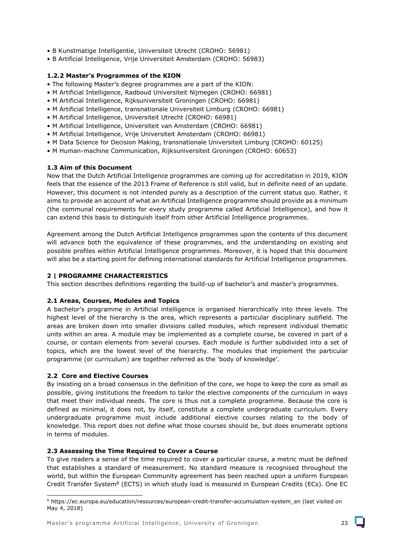- B Kunstmatige Intelligentie, Universiteit Utrecht (CROHO: 56981)
- B Artificial Intelligence, Vrije Universiteit Amsterdam (CROHO: 56983)

## **1.2.2 Master's Programmes of the KION**

- The following Master's degree programmes are a part of the KION:
- M Artificial Intelligence, Radboud Universiteit Nijmegen (CROHO: 66981)
- M Artificial Intelligence, Rijksuniversiteit Groningen (CROHO: 66981)
- M Artificial Intelligence, transnationale Universiteit Limburg (CROHO: 66981)
- M Artificial Intelligence, Universiteit Utrecht (CROHO: 66981)
- M Artificial Intelligence, Universiteit van Amsterdam (CROHO: 66981)
- M Artificial Intelligence, Vrije Universiteit Amsterdam (CROHO: 66981)
- M Data Science for Decision Making, transnationale Universiteit Limburg (CROHO: 60125)
- M Human-machine Communication, Rijksuniversiteit Groningen (CROHO: 60653)

### **1.3 Aim of this Document**

Now that the Dutch Artificial Intelligence programmes are coming up for accreditation in 2019, KION feels that the essence of the 2013 Frame of Reference is still valid, but in definite need of an update. However, this document is not intended purely as a description of the current status quo. Rather, it aims to provide an account of what an Artificial Intelligence programme should provide as a minimum (the communal requirements for every study programme called Artificial Intelligence), and how it can extend this basis to distinguish itself from other Artificial Intelligence programmes.

Agreement among the Dutch Artificial Intelligence programmes upon the contents of this document will advance both the equivalence of these programmes, and the understanding on existing and possible profiles within Artificial Intelligence programmes. Moreover, it is hoped that this document will also be a starting point for defining international standards for Artificial Intelligence programmes.

### **2 | PROGRAMME CHARACTERISTICS**

This section describes definitions regarding the build-up of bachelor's and master's programmes.

#### **2.1 Areas, Courses, Modules and Topics**

A bachelor's programme in Artificial intelligence is organised hierarchically into three levels. The highest level of the hierarchy is the area, which represents a particular disciplinary subfield. The areas are broken down into smaller divisions called modules, which represent individual thematic units within an area. A module may be implemented as a complete course, be covered in part of a course, or contain elements from several courses. Each module is further subdivided into a set of topics, which are the lowest level of the hierarchy. The modules that implement the particular programme (or curriculum) are together referred as the 'body of knowledge'.

# **2.2 Core and Elective Courses**

-

By insisting on a broad consensus in the definition of the core, we hope to keep the core as small as possible, giving institutions the freedom to tailor the elective components of the curriculum in ways that meet their individual needs. The core is thus not a complete programme. Because the core is defined as minimal, it does not, by itself, constitute a complete undergraduate curriculum. Every undergraduate programme must include additional elective courses relating to the body of knowledge. This report does not define what those courses should be, but does enumerate options in terms of modules.

# **2.3 Assessing the Time Required to Cover a Course**

To give readers a sense of the time required to cover a particular course, a metric must be defined that establishes a standard of measurement. No standard measure is recognised throughout the world, but within the European Community agreement has been reached upon a uniform European Credit Transfer System<sup>8</sup> (ECTS) in which study load is measured in European Credits (ECs). One EC

<sup>8</sup> https://ec.europa.eu/education/resources/european-credit-transfer-accumulation-system\_en (last visited on May 4, 2018)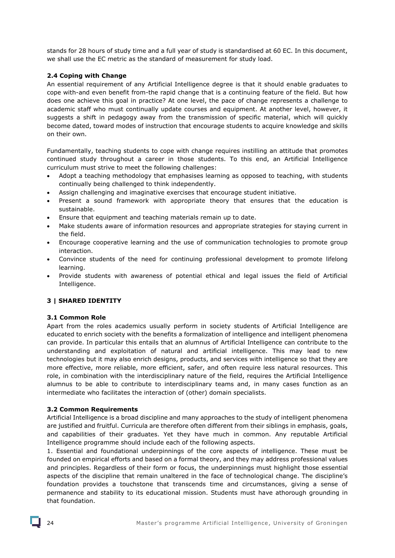stands for 28 hours of study time and a full year of study is standardised at 60 EC. In this document, we shall use the EC metric as the standard of measurement for study load.

# **2.4 Coping with Change**

An essential requirement of any Artificial Intelligence degree is that it should enable graduates to cope with-and even benefit from-the rapid change that is a continuing feature of the field. But how does one achieve this goal in practice? At one level, the pace of change represents a challenge to academic staff who must continually update courses and equipment. At another level, however, it suggests a shift in pedagogy away from the transmission of specific material, which will quickly become dated, toward modes of instruction that encourage students to acquire knowledge and skills on their own.

Fundamentally, teaching students to cope with change requires instilling an attitude that promotes continued study throughout a career in those students. To this end, an Artificial Intelligence curriculum must strive to meet the following challenges:

- Adopt a teaching methodology that emphasises learning as opposed to teaching, with students continually being challenged to think independently.
- Assign challenging and imaginative exercises that encourage student initiative.
- Present a sound framework with appropriate theory that ensures that the education is sustainable.
- Ensure that equipment and teaching materials remain up to date.
- Make students aware of information resources and appropriate strategies for staying current in the field.
- Encourage cooperative learning and the use of communication technologies to promote group interaction.
- Convince students of the need for continuing professional development to promote lifelong learning.
- Provide students with awareness of potential ethical and legal issues the field of Artificial Intelligence.

# **3 | SHARED IDENTITY**

#### **3.1 Common Role**

Apart from the roles academics usually perform in society students of Artificial Intelligence are educated to enrich society with the benefits a formalization of intelligence and intelligent phenomena can provide. In particular this entails that an alumnus of Artificial Intelligence can contribute to the understanding and exploitation of natural and artificial intelligence. This may lead to new technologies but it may also enrich designs, products, and services with intelligence so that they are more effective, more reliable, more efficient, safer, and often require less natural resources. This role, in combination with the interdisciplinary nature of the field, requires the Artificial Intelligence alumnus to be able to contribute to interdisciplinary teams and, in many cases function as an intermediate who facilitates the interaction of (other) domain specialists.

#### **3.2 Common Requirements**

Artificial Intelligence is a broad discipline and many approaches to the study of intelligent phenomena are justified and fruitful. Curricula are therefore often different from their siblings in emphasis, goals, and capabilities of their graduates. Yet they have much in common. Any reputable Artificial Intelligence programme should include each of the following aspects.

1. Essential and foundational underpinnings of the core aspects of intelligence. These must be founded on empirical efforts and based on a formal theory, and they may address professional values and principles. Regardless of their form or focus, the underpinnings must highlight those essential aspects of the discipline that remain unaltered in the face of technological change. The discipline's foundation provides a touchstone that transcends time and circumstances, giving a sense of permanence and stability to its educational mission. Students must have athorough grounding in that foundation.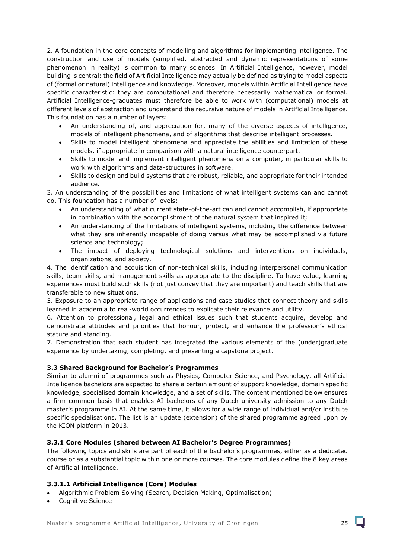2. A foundation in the core concepts of modelling and algorithms for implementing intelligence. The construction and use of models (simplified, abstracted and dynamic representations of some phenomenon in reality) is common to many sciences. In Artificial Intelligence, however, model building is central: the field of Artificial Intelligence may actually be defined as trying to model aspects of (formal or natural) intelligence and knowledge. Moreover, models within Artificial Intelligence have specific characteristic: they are computational and therefore necessarily mathematical or formal. Artificial Intelligence-graduates must therefore be able to work with (computational) models at different levels of abstraction and understand the recursive nature of models in Artificial Intelligence. This foundation has a number of layers:

- An understanding of, and appreciation for, many of the diverse aspects of intelligence, models of intelligent phenomena, and of algorithms that describe intelligent processes.
- Skills to model intelligent phenomena and appreciate the abilities and limitation of these models, if appropriate in comparison with a natural intelligence counterpart.
- Skills to model and implement intelligent phenomena on a computer, in particular skills to work with algorithms and data-structures in software.
- Skills to design and build systems that are robust, reliable, and appropriate for their intended audience.

3. An understanding of the possibilities and limitations of what intelligent systems can and cannot do. This foundation has a number of levels:

- An understanding of what current state-of-the-art can and cannot accomplish, if appropriate in combination with the accomplishment of the natural system that inspired it;
- An understanding of the limitations of intelligent systems, including the difference between what they are inherently incapable of doing versus what may be accomplished via future science and technology;
- The impact of deploying technological solutions and interventions on individuals, organizations, and society.

4. The identification and acquisition of non-technical skills, including interpersonal communication skills, team skills, and management skills as appropriate to the discipline. To have value, learning experiences must build such skills (not just convey that they are important) and teach skills that are transferable to new situations.

5. Exposure to an appropriate range of applications and case studies that connect theory and skills learned in academia to real-world occurrences to explicate their relevance and utility.

6. Attention to professional, legal and ethical issues such that students acquire, develop and demonstrate attitudes and priorities that honour, protect, and enhance the profession's ethical stature and standing.

7. Demonstration that each student has integrated the various elements of the (under)graduate experience by undertaking, completing, and presenting a capstone project.

# **3.3 Shared Background for Bachelor's Programmes**

Similar to alumni of programmes such as Physics, Computer Science, and Psychology, all Artificial Intelligence bachelors are expected to share a certain amount of support knowledge, domain specific knowledge, specialised domain knowledge, and a set of skills. The content mentioned below ensures a firm common basis that enables AI bachelors of any Dutch university admission to any Dutch master's programme in AI. At the same time, it allows for a wide range of individual and/or institute specific specialisations. The list is an update (extension) of the shared programme agreed upon by the KION platform in 2013.

#### **3.3.1 Core Modules (shared between AI Bachelor's Degree Programmes)**

The following topics and skills are part of each of the bachelor's programmes, either as a dedicated course or as a substantial topic within one or more courses. The core modules define the 8 key areas of Artificial Intelligence.

# **3.3.1.1 Artificial Intelligence (Core) Modules**

- Algorithmic Problem Solving (Search, Decision Making, Optimalisation)
- Cognitive Science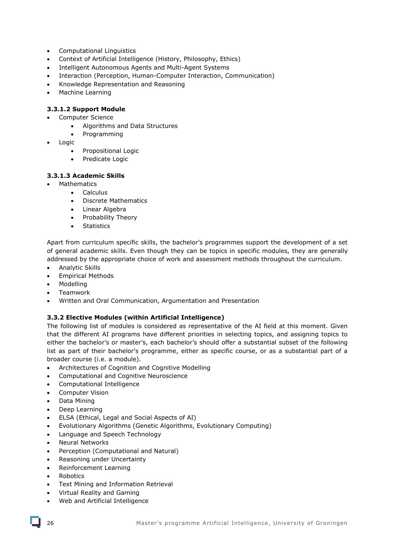- Computational Linguistics
- Context of Artificial Intelligence (History, Philosophy, Ethics)
- Intelligent Autonomous Agents and Multi-Agent Systems
- Interaction (Perception, Human-Computer Interaction, Communication)
- Knowledge Representation and Reasoning
- Machine Learning

# **3.3.1.2 Support Module**

- Computer Science
	- Algorithms and Data Structures
	- Programming
- Logic
	- Propositional Logic
	- Predicate Logic

# **3.3.1.3 Academic Skills**

- Mathematics
	- Calculus
	- Discrete Mathematics
	- Linear Algebra
	- Probability Theory
	- **.** Statistics

Apart from curriculum specific skills, the bachelor's programmes support the development of a set of general academic skills. Even though they can be topics in specific modules, they are generally addressed by the appropriate choice of work and assessment methods throughout the curriculum.

- Analytic Skills
- Empirical Methods
- Modelling
- Teamwork
- Written and Oral Communication, Argumentation and Presentation

# **3.3.2 Elective Modules (within Artificial Intelligence)**

The following list of modules is considered as representative of the AI field at this moment. Given that the different AI programs have different priorities in selecting topics, and assigning topics to either the bachelor's or master's, each bachelor's should offer a substantial subset of the following list as part of their bachelor's programme, either as specific course, or as a substantial part of a broader course (i.e. a module).

- Architectures of Cognition and Cognitive Modelling
- Computational and Cognitive Neuroscience
- Computational Intelligence
- Computer Vision
- Data Mining
- Deep Learning
- ELSA (Ethical, Legal and Social Aspects of AI)
- Evolutionary Algorithms (Genetic Algorithms, Evolutionary Computing)
- Language and Speech Technology
- Neural Networks
- Perception (Computational and Natural)
- Reasoning under Uncertainty
- Reinforcement Learning
- Robotics
- Text Mining and Information Retrieval
- Virtual Reality and Gaming
- Web and Artificial Intelligence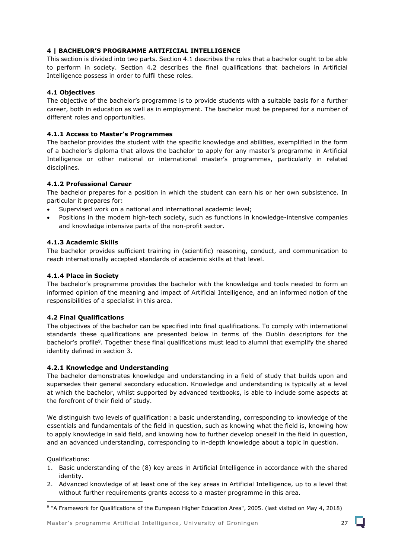# **4 | BACHELOR'S PROGRAMME ARTIFICIAL INTELLIGENCE**

This section is divided into two parts. Section 4.1 describes the roles that a bachelor ought to be able to perform in society. Section 4.2 describes the final qualifications that bachelors in Artificial Intelligence possess in order to fulfil these roles.

### **4.1 Objectives**

The objective of the bachelor's programme is to provide students with a suitable basis for a further career, both in education as well as in employment. The bachelor must be prepared for a number of different roles and opportunities.

#### **4.1.1 Access to Master's Programmes**

The bachelor provides the student with the specific knowledge and abilities, exemplified in the form of a bachelor's diploma that allows the bachelor to apply for any master's programme in Artificial Intelligence or other national or international master's programmes, particularly in related disciplines.

### **4.1.2 Professional Career**

The bachelor prepares for a position in which the student can earn his or her own subsistence. In particular it prepares for:

- Supervised work on a national and international academic level;
- Positions in the modern high-tech society, such as functions in knowledge-intensive companies and knowledge intensive parts of the non-profit sector.

### **4.1.3 Academic Skills**

The bachelor provides sufficient training in (scientific) reasoning, conduct, and communication to reach internationally accepted standards of academic skills at that level.

### **4.1.4 Place in Society**

The bachelor's programme provides the bachelor with the knowledge and tools needed to form an informed opinion of the meaning and impact of Artificial Intelligence, and an informed notion of the responsibilities of a specialist in this area.

#### **4.2 Final Qualifications**

The objectives of the bachelor can be specified into final qualifications. To comply with international standards these qualifications are presented below in terms of the Dublin descriptors for the bachelor's profile<sup>9</sup>. Together these final qualifications must lead to alumni that exemplify the shared identity defined in section 3.

#### **4.2.1 Knowledge and Understanding**

The bachelor demonstrates knowledge and understanding in a field of study that builds upon and supersedes their general secondary education. Knowledge and understanding is typically at a level at which the bachelor, whilst supported by advanced textbooks, is able to include some aspects at the forefront of their field of study.

We distinguish two levels of qualification: a basic understanding, corresponding to knowledge of the essentials and fundamentals of the field in question, such as knowing what the field is, knowing how to apply knowledge in said field, and knowing how to further develop oneself in the field in question, and an advanced understanding, corresponding to in-depth knowledge about a topic in question.

Qualifications:

- 1. Basic understanding of the (8) key areas in Artificial Intelligence in accordance with the shared identity.
- 2. Advanced knowledge of at least one of the key areas in Artificial Intelligence, up to a level that without further requirements grants access to a master programme in this area.

<sup>-</sup><sup>9</sup> "A Framework for Qualifications of the European Higher Education Area", 2005. (last visited on May 4, 2018)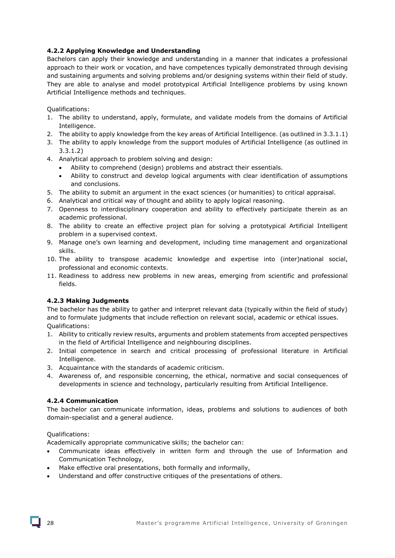# **4.2.2 Applying Knowledge and Understanding**

Bachelors can apply their knowledge and understanding in a manner that indicates a professional approach to their work or vocation, and have competences typically demonstrated through devising and sustaining arguments and solving problems and/or designing systems within their field of study. They are able to analyse and model prototypical Artificial Intelligence problems by using known Artificial Intelligence methods and techniques.

Qualifications:

- 1. The ability to understand, apply, formulate, and validate models from the domains of Artificial Intelligence.
- 2. The ability to apply knowledge from the key areas of Artificial Intelligence. (as outlined in 3.3.1.1)
- 3. The ability to apply knowledge from the support modules of Artificial Intelligence (as outlined in 3.3.1.2)
- 4. Analytical approach to problem solving and design:
	- Ability to comprehend (design) problems and abstract their essentials.
	- Ability to construct and develop logical arguments with clear identification of assumptions and conclusions.
- 5. The ability to submit an argument in the exact sciences (or humanities) to critical appraisal.
- 6. Analytical and critical way of thought and ability to apply logical reasoning.
- 7. Openness to interdisciplinary cooperation and ability to effectively participate therein as an academic professional.
- 8. The ability to create an effective project plan for solving a prototypical Artificial Intelligent problem in a supervised context.
- 9. Manage one's own learning and development, including time management and organizational skills.
- 10. The ability to transpose academic knowledge and expertise into (inter)national social, professional and economic contexts.
- 11. Readiness to address new problems in new areas, emerging from scientific and professional fields.

# **4.2.3 Making Judgments**

The bachelor has the ability to gather and interpret relevant data (typically within the field of study) and to formulate judgments that include reflection on relevant social, academic or ethical issues. Qualifications:

- 1. Ability to critically review results, arguments and problem statements from accepted perspectives in the field of Artificial Intelligence and neighbouring disciplines.
- 2. Initial competence in search and critical processing of professional literature in Artificial Intelligence.
- 3. Acquaintance with the standards of academic criticism.
- 4. Awareness of, and responsible concerning, the ethical, normative and social consequences of developments in science and technology, particularly resulting from Artificial Intelligence.

# **4.2.4 Communication**

The bachelor can communicate information, ideas, problems and solutions to audiences of both domain-specialist and a general audience.

Qualifications:

Academically appropriate communicative skills; the bachelor can:

- Communicate ideas effectively in written form and through the use of Information and Communication Technology,
- Make effective oral presentations, both formally and informally,
- Understand and offer constructive critiques of the presentations of others.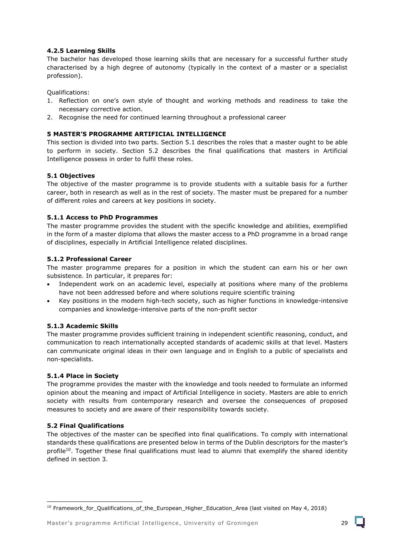# **4.2.5 Learning Skills**

The bachelor has developed those learning skills that are necessary for a successful further study characterised by a high degree of autonomy (typically in the context of a master or a specialist profession).

Qualifications:

- 1. Reflection on one's own style of thought and working methods and readiness to take the necessary corrective action.
- 2. Recognise the need for continued learning throughout a professional career

## **5 MASTER'S PROGRAMME ARTIFICIAL INTELLIGENCE**

This section is divided into two parts. Section 5.1 describes the roles that a master ought to be able to perform in society. Section 5.2 describes the final qualifications that masters in Artificial Intelligence possess in order to fulfil these roles.

### **5.1 Objectives**

The objective of the master programme is to provide students with a suitable basis for a further career, both in research as well as in the rest of society. The master must be prepared for a number of different roles and careers at key positions in society.

### **5.1.1 Access to PhD Programmes**

The master programme provides the student with the specific knowledge and abilities, exemplified in the form of a master diploma that allows the master access to a PhD programme in a broad range of disciplines, especially in Artificial Intelligence related disciplines.

### **5.1.2 Professional Career**

The master programme prepares for a position in which the student can earn his or her own subsistence. In particular, it prepares for:

- Independent work on an academic level, especially at positions where many of the problems have not been addressed before and where solutions require scientific training
- Key positions in the modern high-tech society, such as higher functions in knowledge-intensive companies and knowledge-intensive parts of the non-profit sector

#### **5.1.3 Academic Skills**

The master programme provides sufficient training in independent scientific reasoning, conduct, and communication to reach internationally accepted standards of academic skills at that level. Masters can communicate original ideas in their own language and in English to a public of specialists and non-specialists.

# **5.1.4 Place in Society**

The programme provides the master with the knowledge and tools needed to formulate an informed opinion about the meaning and impact of Artificial Intelligence in society. Masters are able to enrich society with results from contemporary research and oversee the consequences of proposed measures to society and are aware of their responsibility towards society.

#### **5.2 Final Qualifications**

The objectives of the master can be specified into final qualifications. To comply with international standards these qualifications are presented below in terms of the Dublin descriptors for the master's profile<sup>10</sup>. Together these final qualifications must lead to alumni that exemplify the shared identity defined in section 3.

<sup>-</sup><sup>10</sup> Framework for Qualifications of the European Higher Education Area (last visited on May 4, 2018)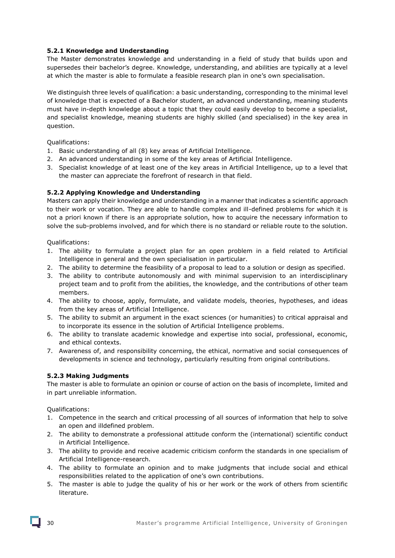# **5.2.1 Knowledge and Understanding**

The Master demonstrates knowledge and understanding in a field of study that builds upon and supersedes their bachelor's degree. Knowledge, understanding, and abilities are typically at a level at which the master is able to formulate a feasible research plan in one's own specialisation.

We distinguish three levels of qualification: a basic understanding, corresponding to the minimal level of knowledge that is expected of a Bachelor student, an advanced understanding, meaning students must have in-depth knowledge about a topic that they could easily develop to become a specialist, and specialist knowledge, meaning students are highly skilled (and specialised) in the key area in question.

Qualifications:

- 1. Basic understanding of all (8) key areas of Artificial Intelligence.
- 2. An advanced understanding in some of the key areas of Artificial Intelligence.
- 3. Specialist knowledge of at least one of the key areas in Artificial Intelligence, up to a level that the master can appreciate the forefront of research in that field.

# **5.2.2 Applying Knowledge and Understanding**

Masters can apply their knowledge and understanding in a manner that indicates a scientific approach to their work or vocation. They are able to handle complex and ill-defined problems for which it is not a priori known if there is an appropriate solution, how to acquire the necessary information to solve the sub-problems involved, and for which there is no standard or reliable route to the solution.

Qualifications:

- 1. The ability to formulate a project plan for an open problem in a field related to Artificial Intelligence in general and the own specialisation in particular.
- 2. The ability to determine the feasibility of a proposal to lead to a solution or design as specified.
- 3. The ability to contribute autonomously and with minimal supervision to an interdisciplinary project team and to profit from the abilities, the knowledge, and the contributions of other team members.
- 4. The ability to choose, apply, formulate, and validate models, theories, hypotheses, and ideas from the key areas of Artificial Intelligence.
- 5. The ability to submit an argument in the exact sciences (or humanities) to critical appraisal and to incorporate its essence in the solution of Artificial Intelligence problems.
- 6. The ability to translate academic knowledge and expertise into social, professional, economic, and ethical contexts.
- 7. Awareness of, and responsibility concerning, the ethical, normative and social consequences of developments in science and technology, particularly resulting from original contributions.

# **5.2.3 Making Judgments**

The master is able to formulate an opinion or course of action on the basis of incomplete, limited and in part unreliable information.

Qualifications:

- 1. Competence in the search and critical processing of all sources of information that help to solve an open and illdefined problem.
- 2. The ability to demonstrate a professional attitude conform the (international) scientific conduct in Artificial Intelligence.
- 3. The ability to provide and receive academic criticism conform the standards in one specialism of Artificial Intelligence-research.
- 4. The ability to formulate an opinion and to make judgments that include social and ethical responsibilities related to the application of one's own contributions.
- 5. The master is able to judge the quality of his or her work or the work of others from scientific literature.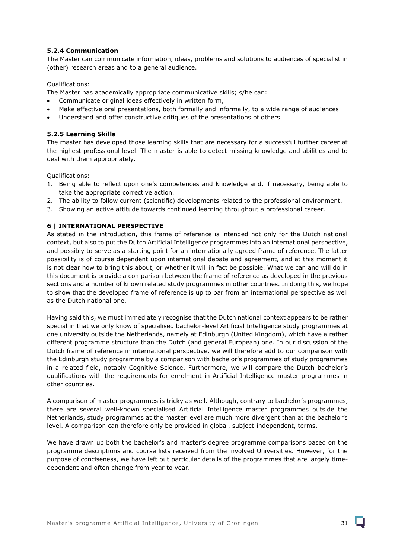# **5.2.4 Communication**

The Master can communicate information, ideas, problems and solutions to audiences of specialist in (other) research areas and to a general audience.

## Qualifications:

The Master has academically appropriate communicative skills; s/he can:

- Communicate original ideas effectively in written form,
- Make effective oral presentations, both formally and informally, to a wide range of audiences
- Understand and offer constructive critiques of the presentations of others.

## **5.2.5 Learning Skills**

The master has developed those learning skills that are necessary for a successful further career at the highest professional level. The master is able to detect missing knowledge and abilities and to deal with them appropriately.

Qualifications:

- 1. Being able to reflect upon one's competences and knowledge and, if necessary, being able to take the appropriate corrective action.
- 2. The ability to follow current (scientific) developments related to the professional environment.
- 3. Showing an active attitude towards continued learning throughout a professional career.

# **6 | INTERNATIONAL PERSPECTIVE**

As stated in the introduction, this frame of reference is intended not only for the Dutch national context, but also to put the Dutch Artificial Intelligence programmes into an international perspective, and possibly to serve as a starting point for an internationally agreed frame of reference. The latter possibility is of course dependent upon international debate and agreement, and at this moment it is not clear how to bring this about, or whether it will in fact be possible. What we can and will do in this document is provide a comparison between the frame of reference as developed in the previous sections and a number of known related study programmes in other countries. In doing this, we hope to show that the developed frame of reference is up to par from an international perspective as well as the Dutch national one.

Having said this, we must immediately recognise that the Dutch national context appears to be rather special in that we only know of specialised bachelor-level Artificial Intelligence study programmes at one university outside the Netherlands, namely at Edinburgh (United Kingdom), which have a rather different programme structure than the Dutch (and general European) one. In our discussion of the Dutch frame of reference in international perspective, we will therefore add to our comparison with the Edinburgh study programme by a comparison with bachelor's programmes of study programmes in a related field, notably Cognitive Science. Furthermore, we will compare the Dutch bachelor's qualifications with the requirements for enrolment in Artificial Intelligence master programmes in other countries.

A comparison of master programmes is tricky as well. Although, contrary to bachelor's programmes, there are several well-known specialised Artificial Intelligence master programmes outside the Netherlands, study programmes at the master level are much more divergent than at the bachelor's level. A comparison can therefore only be provided in global, subject-independent, terms.

We have drawn up both the bachelor's and master's degree programme comparisons based on the programme descriptions and course lists received from the involved Universities. However, for the purpose of conciseness, we have left out particular details of the programmes that are largely timedependent and often change from year to year.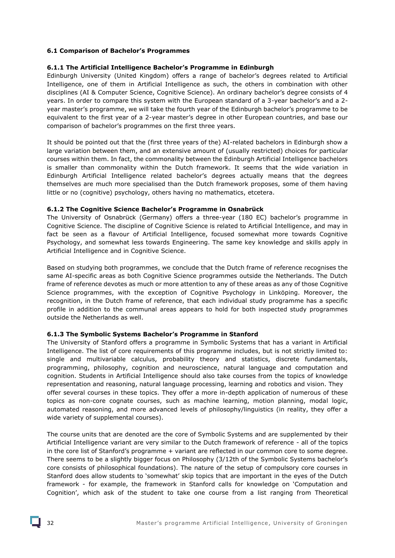## **6.1 Comparison of Bachelor's Programmes**

### **6.1.1 The Artificial Intelligence Bachelor's Programme in Edinburgh**

Edinburgh University (United Kingdom) offers a range of bachelor's degrees related to Artificial Intelligence, one of them in Artificial Intelligence as such, the others in combination with other disciplines (AI & Computer Science, Cognitive Science). An ordinary bachelor's degree consists of 4 years. In order to compare this system with the European standard of a 3-year bachelor's and a 2 year master's programme, we will take the fourth year of the Edinburgh bachelor's programme to be equivalent to the first year of a 2-year master's degree in other European countries, and base our comparison of bachelor's programmes on the first three years.

It should be pointed out that the (first three years of the) AI-related bachelors in Edinburgh show a large variation between them, and an extensive amount of (usually restricted) choices for particular courses within them. In fact, the commonality between the Edinburgh Artificial Intelligence bachelors is smaller than commonality within the Dutch framework. It seems that the wide variation in Edinburgh Artificial Intelligence related bachelor's degrees actually means that the degrees themselves are much more specialised than the Dutch framework proposes, some of them having little or no (cognitive) psychology, others having no mathematics, etcetera.

#### **6.1.2 The Cognitive Science Bachelor's Programme in Osnabrück**

The University of Osnabrück (Germany) offers a three-year (180 EC) bachelor's programme in Cognitive Science. The discipline of Cognitive Science is related to Artificial Intelligence, and may in fact be seen as a flavour of Artificial Intelligence, focused somewhat more towards Cognitive Psychology, and somewhat less towards Engineering. The same key knowledge and skills apply in Artificial Intelligence and in Cognitive Science.

Based on studying both programmes, we conclude that the Dutch frame of reference recognises the same AI-specific areas as both Cognitive Science programmes outside the Netherlands. The Dutch frame of reference devotes as much or more attention to any of these areas as any of those Cognitive Science programmes, with the exception of Cognitive Psychology in Linköping. Moreover, the recognition, in the Dutch frame of reference, that each individual study programme has a specific profile in addition to the communal areas appears to hold for both inspected study programmes outside the Netherlands as well.

#### **6.1.3 The Symbolic Systems Bachelor's Programme in Stanford**

The University of Stanford offers a programme in Symbolic Systems that has a variant in Artificial Intelligence. The list of core requirements of this programme includes, but is not strictly limited to: single and multivariable calculus, probability theory and statistics, discrete fundamentals, programming, philosophy, cognition and neuroscience, natural language and computation and cognition. Students in Artificial Intelligence should also take courses from the topics of knowledge representation and reasoning, natural language processing, learning and robotics and vision. They offer several courses in these topics. They offer a more in-depth application of numerous of these topics as non-core cognate courses, such as machine learning, motion planning, modal logic, automated reasoning, and more advanced levels of philosophy/linguistics (in reality, they offer a wide variety of supplemental courses).

The course units that are denoted are the core of Symbolic Systems and are supplemented by their Artificial Intelligence variant are very similar to the Dutch framework of reference - all of the topics in the core list of Stanford's programme + variant are reflected in our common core to some degree. There seems to be a slightly bigger focus on Philosophy (3/12th of the Symbolic Systems bachelor's core consists of philosophical foundations). The nature of the setup of compulsory core courses in Stanford does allow students to 'somewhat' skip topics that are important in the eyes of the Dutch framework - for example, the framework in Stanford calls for knowledge on 'Computation and Cognition', which ask of the student to take one course from a list ranging from Theoretical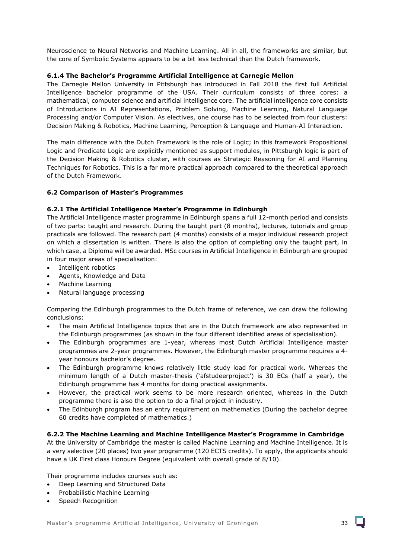Neuroscience to Neural Networks and Machine Learning. All in all, the frameworks are similar, but the core of Symbolic Systems appears to be a bit less technical than the Dutch framework.

## **6.1.4 The Bachelor's Programme Artificial Intelligence at Carnegie Mellon**

The Carnegie Mellon University in Pittsburgh has introduced in Fall 2018 the first full Artificial Intelligence bachelor programme of the USA. Their curriculum consists of three cores: a mathematical, computer science and artificial intelligence core. The artificial intelligence core consists of Introductions in AI Representations, Problem Solving, Machine Learning, Natural Language Processing and/or Computer Vision. As electives, one course has to be selected from four clusters: Decision Making & Robotics, Machine Learning, Perception & Language and Human-AI Interaction.

The main difference with the Dutch Framework is the role of Logic; in this framework Propositional Logic and Predicate Logic are explicitly mentioned as support modules, in Pittsburgh logic is part of the Decision Making & Robotics cluster, with courses as Strategic Reasoning for AI and Planning Techniques for Robotics. This is a far more practical approach compared to the theoretical approach of the Dutch Framework.

### **6.2 Comparison of Master's Programmes**

### **6.2.1 The Artificial Intelligence Master's Programme in Edinburgh**

The Artificial Intelligence master programme in Edinburgh spans a full 12-month period and consists of two parts: taught and research. During the taught part (8 months), lectures, tutorials and group practicals are followed. The research part (4 months) consists of a major individual research project on which a dissertation is written. There is also the option of completing only the taught part, in which case, a Diploma will be awarded. MSc courses in Artificial Intelligence in Edinburgh are grouped in four major areas of specialisation:

- Intelligent robotics
- Agents, Knowledge and Data
- Machine Learning
- Natural language processing

Comparing the Edinburgh programmes to the Dutch frame of reference, we can draw the following conclusions:

- The main Artificial Intelligence topics that are in the Dutch framework are also represented in the Edinburgh programmes (as shown in the four different identified areas of specialisation).
- The Edinburgh programmes are 1-year, whereas most Dutch Artificial Intelligence master programmes are 2-year programmes. However, the Edinburgh master programme requires a 4 year honours bachelor's degree.
- The Edinburgh programme knows relatively little study load for practical work. Whereas the minimum length of a Dutch master-thesis ('afstudeerproject') is 30 ECs (half a year), the Edinburgh programme has 4 months for doing practical assignments.
- However, the practical work seems to be more research oriented, whereas in the Dutch programme there is also the option to do a final project in industry.
- The Edinburgh program has an entry requirement on mathematics (During the bachelor degree 60 credits have completed of mathematics.)

# **6.2.2 The Machine Learning and Machine Intelligence Master's Programme in Cambridge**

At the University of Cambridge the master is called Machine Learning and Machine Intelligence. It is a very selective (20 places) two year programme (120 ECTS credits). To apply, the applicants should have a UK First class Honours Degree (equivalent with overall grade of 8/10).

Their programme includes courses such as:

- Deep Learning and Structured Data
- Probabilistic Machine Learning
- Speech Recognition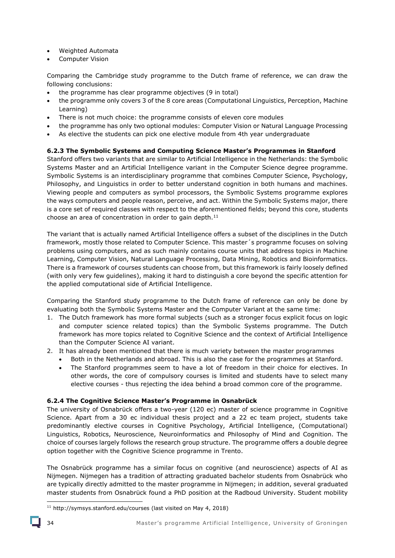- Weighted Automata
- Computer Vision

Comparing the Cambridge study programme to the Dutch frame of reference, we can draw the following conclusions:

- the programme has clear programme objectives (9 in total)
- the programme only covers 3 of the 8 core areas (Computational Linguistics, Perception, Machine Learning)
- There is not much choice: the programme consists of eleven core modules
- the programme has only two optional modules: Computer Vision or Natural Language Processing
- As elective the students can pick one elective module from 4th year undergraduate

### **6.2.3 The Symbolic Systems and Computing Science Master's Programmes in Stanford**

Stanford offers two variants that are similar to Artificial Intelligence in the Netherlands: the Symbolic Systems Master and an Artificial Intelligence variant in the Computer Science degree programme. Symbolic Systems is an interdisciplinary programme that combines Computer Science, Psychology, Philosophy, and Linguistics in order to better understand cognition in both humans and machines. Viewing people and computers as symbol processors, the Symbolic Systems programme explores the ways computers and people reason, perceive, and act. Within the Symbolic Systems major, there is a core set of required classes with respect to the aforementioned fields; beyond this core, students choose an area of concentration in order to gain depth. $^{11}$ 

The variant that is actually named Artificial Intelligence offers a subset of the disciplines in the Dutch framework, mostly those related to Computer Science. This master´s programme focuses on solving problems using computers, and as such mainly contains course units that address topics in Machine Learning, Computer Vision, Natural Language Processing, Data Mining, Robotics and Bioinformatics. There is a framework of courses students can choose from, but this framework is fairly loosely defined (with only very few guidelines), making it hard to distinguish a core beyond the specific attention for the applied computational side of Artificial Intelligence.

Comparing the Stanford study programme to the Dutch frame of reference can only be done by evaluating both the Symbolic Systems Master and the Computer Variant at the same time:

- 1. The Dutch framework has more formal subjects (such as a stronger focus explicit focus on logic and computer science related topics) than the Symbolic Systems programme. The Dutch framework has more topics related to Cognitive Science and the context of Artificial Intelligence than the Computer Science AI variant.
- 2. It has already been mentioned that there is much variety between the master programmes
	- Both in the Netherlands and abroad. This is also the case for the programmes at Stanford.
	- The Stanford programmes seem to have a lot of freedom in their choice for electives. In other words, the core of compulsory courses is limited and students have to select many elective courses - thus rejecting the idea behind a broad common core of the programme.

# **6.2.4 The Cognitive Science Master's Programme in Osnabrück**

The university of Osnabrück offers a two-year (120 ec) master of science programme in Cognitive Science. Apart from a 30 ec individual thesis project and a 22 ec team project, students take predominantly elective courses in Cognitive Psychology, Artificial Intelligence, (Computational) Linguistics, Robotics, Neuroscience, Neuroinformatics and Philosophy of Mind and Cognition. The choice of courses largely follows the research group structure. The programme offers a double degree option together with the Cognitive Science programme in Trento.

The Osnabrück programme has a similar focus on cognitive (and neuroscience) aspects of AI as Nijmegen. Nijmegen has a tradition of attracting graduated bachelor students from Osnabrück who are typically directly admitted to the master programme in Nijmegen; in addition, several graduated master students from Osnabrück found a PhD position at the Radboud University. Student mobility

-

 $11$  http://symsys.stanford.edu/courses (last visited on May 4, 2018)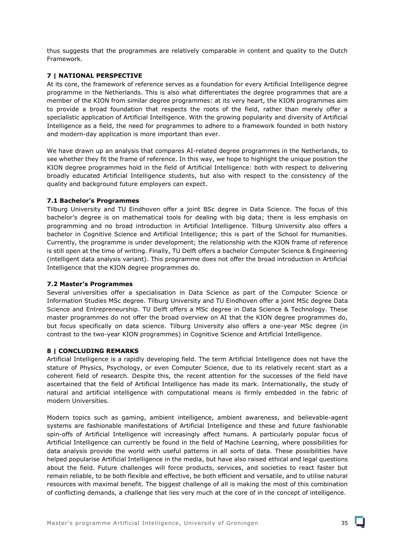thus suggests that the programmes are relatively comparable in content and quality to the Dutch Framework.

### **7 | NATIONAL PERSPECTIVE**

At its core, the framework of reference serves as a foundation for every Artificial Intelligence degree programme in the Netherlands. This is also what differentiates the degree programmes that are a member of the KION from similar degree programmes: at its very heart, the KION programmes aim to provide a broad foundation that respects the roots of the field, rather than merely offer a specialistic application of Artificial Intelligence. With the growing popularity and diversity of Artificial Intelligence as a field, the need for programmes to adhere to a framework founded in both history and modern-day application is more important than ever.

We have drawn up an analysis that compares AI-related degree programmes in the Netherlands, to see whether they fit the frame of reference. In this way, we hope to highlight the unique position the KION degree programmes hold in the field of Artificial Intelligence: both with respect to delivering broadly educated Artificial Intelligence students, but also with respect to the consistency of the quality and background future employers can expect.

#### **7.1 Bachelor's Programmes**

Tilburg University and TU Eindhoven offer a joint BSc degree in Data Science. The focus of this bachelor's degree is on mathematical tools for dealing with big data; there is less emphasis on programming and no broad introduction in Artificial Intelligence. Tilburg University also offers a bachelor in Cognitive Science and Artificial Intelligence; this is part of the School for Humanities. Currently, the programme is under development; the relationship with the KION frame of reference is still open at the time of writing. Finally, TU Delft offers a bachelor Computer Science & Engineering (intelligent data analysis variant). This programme does not offer the broad introduction in Artificial Intelligence that the KION degree programmes do.

#### **7.2 Master's Programmes**

Several universities offer a specialisation in Data Science as part of the Computer Science or Information Studies MSc degree. Tilburg University and TU Eindhoven offer a joint MSc degree Data Science and Entrepreneurship. TU Delft offers a MSc degree in Data Science & Technology. These master programmes do not offer the broad overview on AI that the KION degree programmes do, but focus specifically on data science. Tilburg University also offers a one-year MSc degree (in contrast to the two-year KION programmes) in Cognitive Science and Artificial Intelligence.

#### **8 | CONCLUDING REMARKS**

Artificial Intelligence is a rapidly developing field. The term Artificial Intelligence does not have the stature of Physics, Psychology, or even Computer Science, due to its relatively recent start as a coherent field of research. Despite this, the recent attention for the successes of the field have ascertained that the field of Artificial Intelligence has made its mark. Internationally, the study of natural and artificial intelligence with computational means is firmly embedded in the fabric of modern Universities.

Modern topics such as gaming, ambient intelligence, ambient awareness, and believable-agent systems are fashionable manifestations of Artificial Intelligence and these and future fashionable spin-offs of Artificial Intelligence will increasingly affect humans. A particularly popular focus of Artificial Intelligence can currently be found in the field of Machine Learning, where possibilities for data analysis provide the world with useful patterns in all sorts of data. These possibilities have helped popularise Artificial Intelligence in the media, but have also raised ethical and legal questions about the field. Future challenges will force products, services, and societies to react faster but remain reliable, to be both flexible and effective, be both efficient and versatile, and to utilise natural resources with maximal benefit. The biggest challenge of all is making the most of this combination of conflicting demands, a challenge that lies very much at the core of in the concept of intelligence.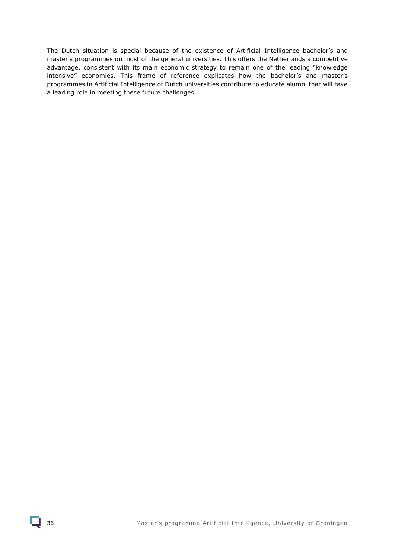The Dutch situation is special because of the existence of Artificial Intelligence bachelor's and master's programmes on most of the general universities. This offers the Netherlands a competitive advantage, consistent with its main economic strategy to remain one of the leading "knowledge intensive" economies. This frame of reference explicates how the bachelor's and master's programmes in Artificial Intelligence of Dutch universities contribute to educate alumni that will take a leading role in meeting these future challenges.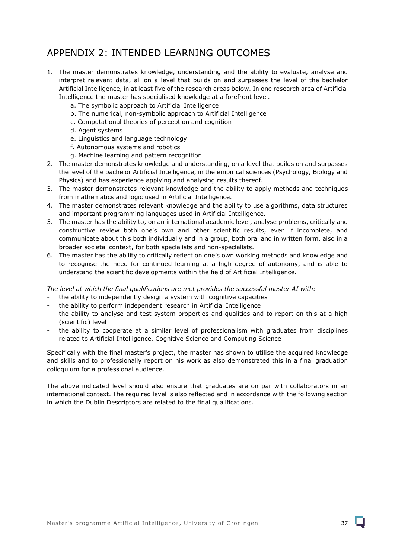# <span id="page-36-0"></span>APPENDIX 2: INTENDED LEARNING OUTCOMES

- 1. The master demonstrates knowledge, understanding and the ability to evaluate, analyse and interpret relevant data, all on a level that builds on and surpasses the level of the bachelor Artificial Intelligence, in at least five of the research areas below. In one research area of Artificial Intelligence the master has specialised knowledge at a forefront level.
	- a. The symbolic approach to Artificial Intelligence
	- b. The numerical, non-symbolic approach to Artificial Intelligence
	- c. Computational theories of perception and cognition
	- d. Agent systems
	- e. Linguistics and language technology
	- f. Autonomous systems and robotics
	- g. Machine learning and pattern recognition
- 2. The master demonstrates knowledge and understanding, on a level that builds on and surpasses the level of the bachelor Artificial Intelligence, in the empirical sciences (Psychology, Biology and Physics) and has experience applying and analysing results thereof.
- 3. The master demonstrates relevant knowledge and the ability to apply methods and techniques from mathematics and logic used in Artificial Intelligence.
- 4. The master demonstrates relevant knowledge and the ability to use algorithms, data structures and important programming languages used in Artificial Intelligence.
- 5. The master has the ability to, on an international academic level, analyse problems, critically and constructive review both one's own and other scientific results, even if incomplete, and communicate about this both individually and in a group, both oral and in written form, also in a broader societal context, for both specialists and non-specialists.
- 6. The master has the ability to critically reflect on one's own working methods and knowledge and to recognise the need for continued learning at a high degree of autonomy, and is able to understand the scientific developments within the field of Artificial Intelligence.

*The level at which the final qualifications are met provides the successful master AI with:*

- the ability to independently design a system with cognitive capacities
- the ability to perform independent research in Artificial Intelligence
- the ability to analyse and test system properties and qualities and to report on this at a high (scientific) level
- the ability to cooperate at a similar level of professionalism with graduates from disciplines related to Artificial Intelligence, Cognitive Science and Computing Science

Specifically with the final master's project, the master has shown to utilise the acquired knowledge and skills and to professionally report on his work as also demonstrated this in a final graduation colloquium for a professional audience.

The above indicated level should also ensure that graduates are on par with collaborators in an international context. The required level is also reflected and in accordance with the following section in which the Dublin Descriptors are related to the final qualifications.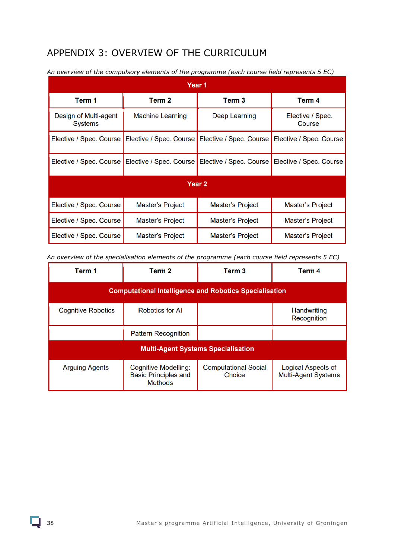# <span id="page-37-0"></span>APPENDIX 3: OVERVIEW OF THE CURRICULUM

| Year 1                           |                         |                         |                            |  |
|----------------------------------|-------------------------|-------------------------|----------------------------|--|
| Term 1                           | Term <sub>2</sub>       | Term <sub>3</sub>       | Term 4                     |  |
| Design of Multi-agent<br>Systems | <b>Machine Learning</b> | Deep Learning           | Elective / Spec.<br>Course |  |
| Elective / Spec. Course          | Elective / Spec. Course | Elective / Spec. Course | Elective / Spec. Course    |  |
| Elective / Spec. Course          | Elective / Spec. Course | Elective / Spec. Course | Elective / Spec. Course    |  |
| Year <sub>2</sub>                |                         |                         |                            |  |
| Elective / Spec. Course          | Master's Project        | <b>Master's Project</b> | Master's Project           |  |
| Elective / Spec. Course          | Master's Project        | Master's Project        | <b>Master's Project</b>    |  |
| Elective / Spec. Course          | Master's Project        | Master's Project        | Master's Project           |  |

*An overview of the compulsory elements of the programme (each course field represents 5 EC)*

*An overview of the specialisation elements of the programme (each course field represents 5 EC)*

| Term 1                                                        | Term 2                                                                       | Term 3                                | Term 4                                           |  |  |
|---------------------------------------------------------------|------------------------------------------------------------------------------|---------------------------------------|--------------------------------------------------|--|--|
| <b>Computational Intelligence and Robotics Specialisation</b> |                                                                              |                                       |                                                  |  |  |
| <b>Cognitive Robotics</b>                                     | <b>Robotics for AI</b>                                                       |                                       | Handwriting<br>Recognition                       |  |  |
|                                                               | <b>Pattern Recognition</b>                                                   |                                       |                                                  |  |  |
| <b>Multi-Agent Systems Specialisation</b>                     |                                                                              |                                       |                                                  |  |  |
| <b>Arguing Agents</b>                                         | <b>Cognitive Modelling:</b><br><b>Basic Principles and</b><br><b>Methods</b> | <b>Computational Social</b><br>Choice | Logical Aspects of<br><b>Multi-Agent Systems</b> |  |  |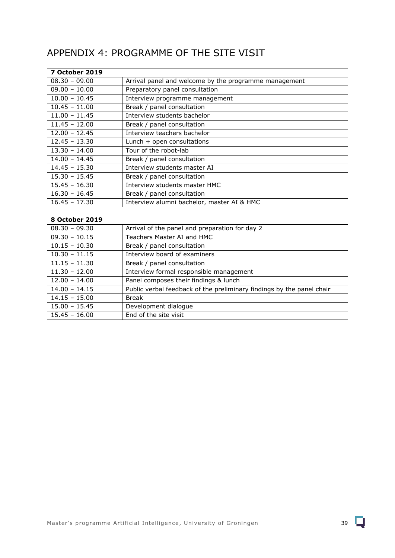# <span id="page-38-0"></span>APPENDIX 4: PROGRAMME OF THE SITE VISIT

| <b>7 October 2019</b> |                                                       |
|-----------------------|-------------------------------------------------------|
| $08.30 - 09.00$       | Arrival panel and welcome by the programme management |
| $09.00 - 10.00$       | Preparatory panel consultation                        |
| $10.00 - 10.45$       | Interview programme management                        |
| $10.45 - 11.00$       | Break / panel consultation                            |
| $11.00 - 11.45$       | Interview students bachelor                           |
| $11.45 - 12.00$       | Break / panel consultation                            |
| $12.00 - 12.45$       | Interview teachers bachelor                           |
| $12.45 - 13.30$       | Lunch + open consultations                            |
| $13.30 - 14.00$       | Tour of the robot-lab                                 |
| $14.00 - 14.45$       | Break / panel consultation                            |
| $14.45 - 15.30$       | Interview students master AI                          |
| $15.30 - 15.45$       | Break / panel consultation                            |
| $15.45 - 16.30$       | Interview students master HMC                         |
| $16.30 - 16.45$       | Break / panel consultation                            |
| $16.45 - 17.30$       | Interview alumni bachelor, master AI & HMC            |

| 8 October 2019  |                                                                       |
|-----------------|-----------------------------------------------------------------------|
| $08.30 - 09.30$ | Arrival of the panel and preparation for day 2                        |
| $09.30 - 10.15$ | Teachers Master AI and HMC                                            |
| $10.15 - 10.30$ | Break / panel consultation                                            |
| $10.30 - 11.15$ | Interview board of examiners                                          |
| $11.15 - 11.30$ | Break / panel consultation                                            |
| $11.30 - 12.00$ | Interview formal responsible management                               |
| $12.00 - 14.00$ | Panel composes their findings & lunch                                 |
| $14.00 - 14.15$ | Public verbal feedback of the preliminary findings by the panel chair |
| $14.15 - 15.00$ | Break                                                                 |
| $15.00 - 15.45$ | Development dialogue                                                  |
| $15.45 - 16.00$ | End of the site visit                                                 |